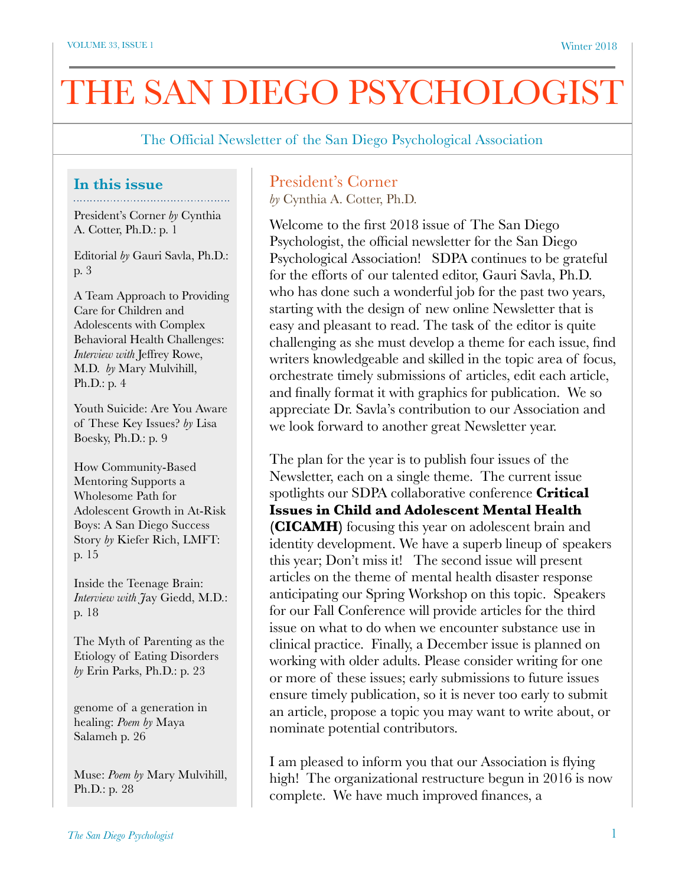# THE SAN DIEGO PSYCHOLOGIST

The Official Newsletter of the San Diego Psychological Association

#### **In this issue**

President's Corner *by* Cynthia A. Cotter, Ph.D.: p. 1

Editorial *by* Gauri Savla, Ph.D.: p. 3

A Team Approach to Providing Care for Children and Adolescents with Complex Behavioral Health Challenges: *Interview with* Jeffrey Rowe, M.D. *by* Mary Mulvihill, Ph.D.: p. 4

Youth Suicide: Are You Aware of These Key Issues? *by* Lisa Boesky, Ph.D.: p. 9

How Community-Based Mentoring Supports a Wholesome Path for Adolescent Growth in At-Risk Boys: A San Diego Success Story *by* Kiefer Rich, LMFT: p. 15

Inside the Teenage Brain: *Interview with J*ay Giedd, M.D.: p. 18

The Myth of Parenting as the Etiology of Eating Disorders *by* Erin Parks, Ph.D.: p. 23

genome of a generation in healing: *Poem by* Maya Salameh p. 26

Muse: *Poem by* Mary Mulvihill, Ph.D.: p. 28

# President's Corner

*by* Cynthia A. Cotter, Ph.D.

Welcome to the first 2018 issue of The San Diego Psychologist, the official newsletter for the San Diego Psychological Association! SDPA continues to be grateful for the efforts of our talented editor, Gauri Savla, Ph.D. who has done such a wonderful job for the past two years, starting with the design of new online Newsletter that is easy and pleasant to read. The task of the editor is quite challenging as she must develop a theme for each issue, find writers knowledgeable and skilled in the topic area of focus, orchestrate timely submissions of articles, edit each article, and finally format it with graphics for publication. We so appreciate Dr. Savla's contribution to our Association and we look forward to another great Newsletter year.

The plan for the year is to publish four issues of the Newsletter, each on a single theme. The current issue spotlights our SDPA collaborative conference **Critical Issues in Child and Adolescent Mental Health (CICAMH)** focusing this year on adolescent brain and identity development. We have a superb lineup of speakers this year; Don't miss it! The second issue will present articles on the theme of mental health disaster response anticipating our Spring Workshop on this topic. Speakers for our Fall Conference will provide articles for the third issue on what to do when we encounter substance use in clinical practice. Finally, a December issue is planned on working with older adults. Please consider writing for one or more of these issues; early submissions to future issues ensure timely publication, so it is never too early to submit an article, propose a topic you may want to write about, or nominate potential contributors.

I am pleased to inform you that our Association is flying high! The organizational restructure begun in 2016 is now complete. We have much improved finances, a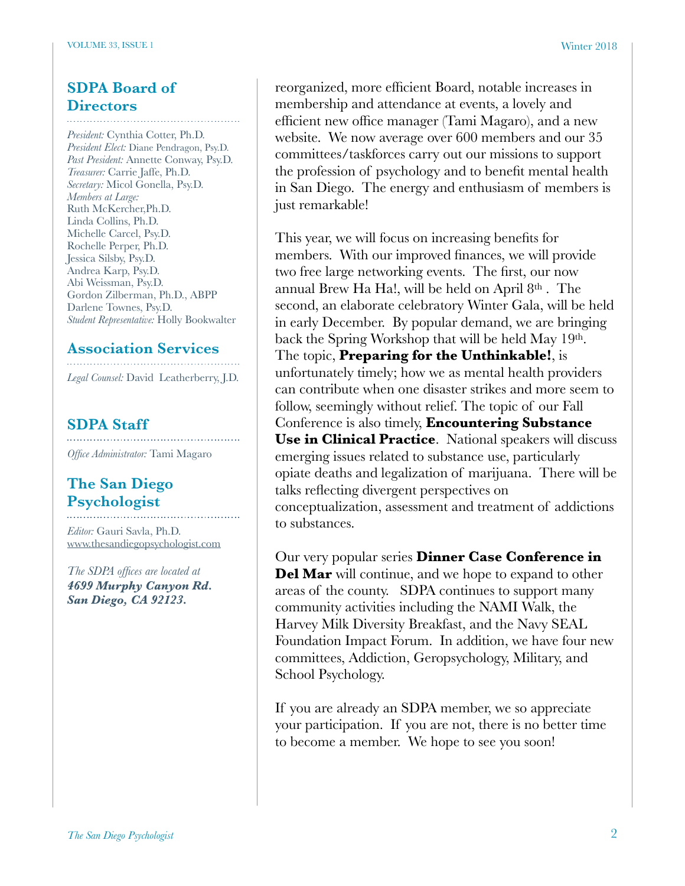#### **SDPA Board of Directors**

*President:* Cynthia Cotter, Ph.D. *President Elect:* Diane Pendragon, Psy.D. *Past President:* Annette Conway, Psy.D. *Treasurer:* Carrie Jaffe, Ph.D. *Secretary:* Micol Gonella, Psy.D. *Members at Large:* Ruth McKercher,Ph.D. Linda Collins, Ph.D. Michelle Carcel, Psy.D. Rochelle Perper, Ph.D. Jessica Silsby, Psy.D. Andrea Karp, Psy.D. Abi Weissman, Psy.D. Gordon Zilberman, Ph.D., ABPP Darlene Townes, Psy.D. *Student Representative:* Holly Bookwalter

#### **Association Services**

*Legal Counsel:* David Leatherberry, J.D.

## **SDPA Staff**

*Office Administrator:* Tami Magaro

## **The San Diego Psychologist**

*Editor:* Gauri Savla, Ph.D. [www.thesandiegopsychologist.com](http://www.thesandiegopsychologist.com)

*The SDPA offices are located at 4699 Murphy Canyon Rd. San Diego, CA 92123.* 

reorganized, more efficient Board, notable increases in membership and attendance at events, a lovely and efficient new office manager (Tami Magaro), and a new website. We now average over 600 members and our 35 committees/taskforces carry out our missions to support the profession of psychology and to benefit mental health in San Diego. The energy and enthusiasm of members is just remarkable!

This year, we will focus on increasing benefits for members. With our improved finances, we will provide two free large networking events. The first, our now annual Brew Ha Ha!, will be held on April 8th . The second, an elaborate celebratory Winter Gala, will be held in early December. By popular demand, we are bringing back the Spring Workshop that will be held May 19<sup>th</sup>. The topic, **Preparing for the Unthinkable!**, is unfortunately timely; how we as mental health providers can contribute when one disaster strikes and more seem to follow, seemingly without relief. The topic of our Fall Conference is also timely, **Encountering Substance Use in Clinical Practice**. National speakers will discuss emerging issues related to substance use, particularly opiate deaths and legalization of marijuana. There will be talks reflecting divergent perspectives on conceptualization, assessment and treatment of addictions to substances.

Our very popular series **Dinner Case Conference in Del Mar** will continue, and we hope to expand to other areas of the county. SDPA continues to support many community activities including the NAMI Walk, the Harvey Milk Diversity Breakfast, and the Navy SEAL Foundation Impact Forum. In addition, we have four new committees, Addiction, Geropsychology, Military, and School Psychology.

If you are already an SDPA member, we so appreciate your participation. If you are not, there is no better time to become a member. We hope to see you soon!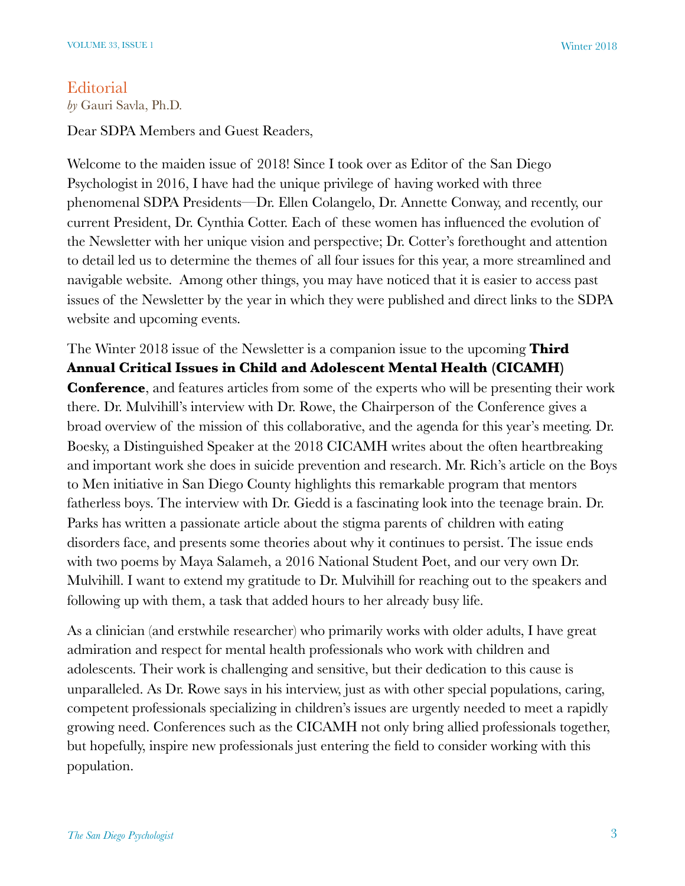*by* Gauri Savla, Ph.D.

Dear SDPA Members and Guest Readers,

Welcome to the maiden issue of 2018! Since I took over as Editor of the San Diego Psychologist in 2016, I have had the unique privilege of having worked with three phenomenal SDPA Presidents—Dr. Ellen Colangelo, Dr. Annette Conway, and recently, our current President, Dr. Cynthia Cotter. Each of these women has influenced the evolution of the Newsletter with her unique vision and perspective; Dr. Cotter's forethought and attention to detail led us to determine the themes of all four issues for this year, a more streamlined and navigable website. Among other things, you may have noticed that it is easier to access past issues of the Newsletter by the year in which they were published and direct links to the SDPA website and upcoming events.

The Winter 2018 issue of the Newsletter is a companion issue to the upcoming **Third Annual Critical Issues in Child and Adolescent Mental Health (CICAMH)** 

**Conference**, and features articles from some of the experts who will be presenting their work there. Dr. Mulvihill's interview with Dr. Rowe, the Chairperson of the Conference gives a broad overview of the mission of this collaborative, and the agenda for this year's meeting. Dr. Boesky, a Distinguished Speaker at the 2018 CICAMH writes about the often heartbreaking and important work she does in suicide prevention and research. Mr. Rich's article on the Boys to Men initiative in San Diego County highlights this remarkable program that mentors fatherless boys. The interview with Dr. Giedd is a fascinating look into the teenage brain. Dr. Parks has written a passionate article about the stigma parents of children with eating disorders face, and presents some theories about why it continues to persist. The issue ends with two poems by Maya Salameh, a 2016 National Student Poet, and our very own Dr. Mulvihill. I want to extend my gratitude to Dr. Mulvihill for reaching out to the speakers and following up with them, a task that added hours to her already busy life.

As a clinician (and erstwhile researcher) who primarily works with older adults, I have great admiration and respect for mental health professionals who work with children and adolescents. Their work is challenging and sensitive, but their dedication to this cause is unparalleled. As Dr. Rowe says in his interview, just as with other special populations, caring, competent professionals specializing in children's issues are urgently needed to meet a rapidly growing need. Conferences such as the CICAMH not only bring allied professionals together, but hopefully, inspire new professionals just entering the field to consider working with this population.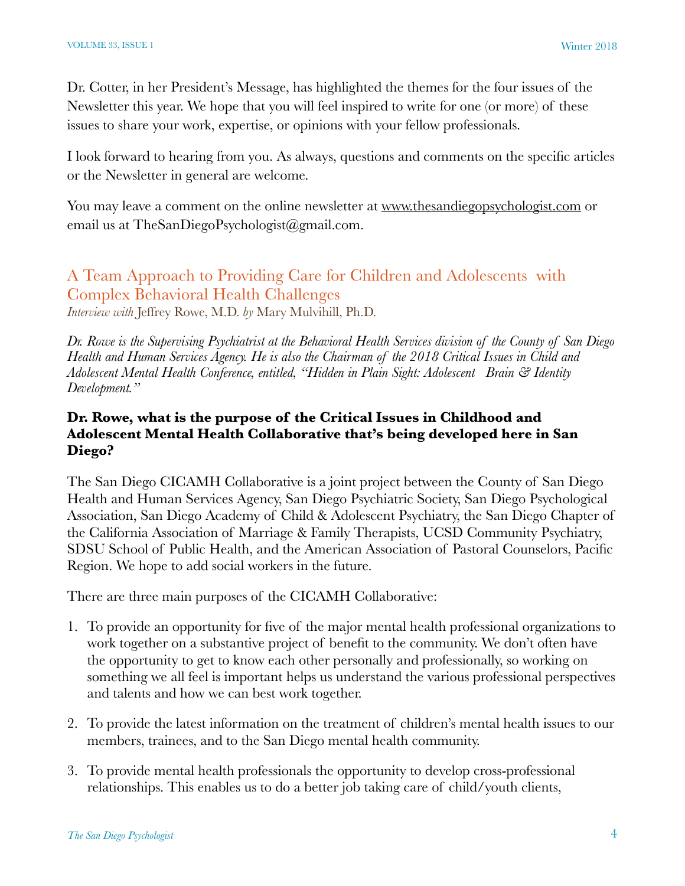Dr. Cotter, in her President's Message, has highlighted the themes for the four issues of the Newsletter this year. We hope that you will feel inspired to write for one (or more) of these issues to share your work, expertise, or opinions with your fellow professionals.

I look forward to hearing from you. As always, questions and comments on the specific articles or the Newsletter in general are welcome.

You may leave a comment on the online newsletter at <u>www.thesandiegopsychologist.com</u> or email us at TheSanDiegoPsychologist@gmail.com.

## A Team Approach to Providing Care for Children and Adolescents with Complex Behavioral Health Challenges *Interview with* Jeffrey Rowe, M.D. *by* Mary Mulvihill, Ph.D.

*Dr. Rowe is the Supervising Psychiatrist at the Behavioral Health Services division of the County of San Diego Health and Human Services Agency. He is also the Chairman of the 2018 Critical Issues in Child and Adolescent Mental Health Conference, entitled, "Hidden in Plain Sight: Adolescent Brain & Identity Development."* 

## **Dr. Rowe, what is the purpose of the Critical Issues in Childhood and Adolescent Mental Health Collaborative that's being developed here in San Diego?**

The San Diego CICAMH Collaborative is a joint project between the County of San Diego Health and Human Services Agency, San Diego Psychiatric Society, San Diego Psychological Association, San Diego Academy of Child & Adolescent Psychiatry, the San Diego Chapter of the California Association of Marriage & Family Therapists, UCSD Community Psychiatry, SDSU School of Public Health, and the American Association of Pastoral Counselors, Pacific Region. We hope to add social workers in the future.

There are three main purposes of the CICAMH Collaborative:

- 1. To provide an opportunity for five of the major mental health professional organizations to work together on a substantive project of benefit to the community. We don't often have the opportunity to get to know each other personally and professionally, so working on something we all feel is important helps us understand the various professional perspectives and talents and how we can best work together.
- 2. To provide the latest information on the treatment of children's mental health issues to our members, trainees, and to the San Diego mental health community.
- 3. To provide mental health professionals the opportunity to develop cross-professional relationships. This enables us to do a better job taking care of child/youth clients,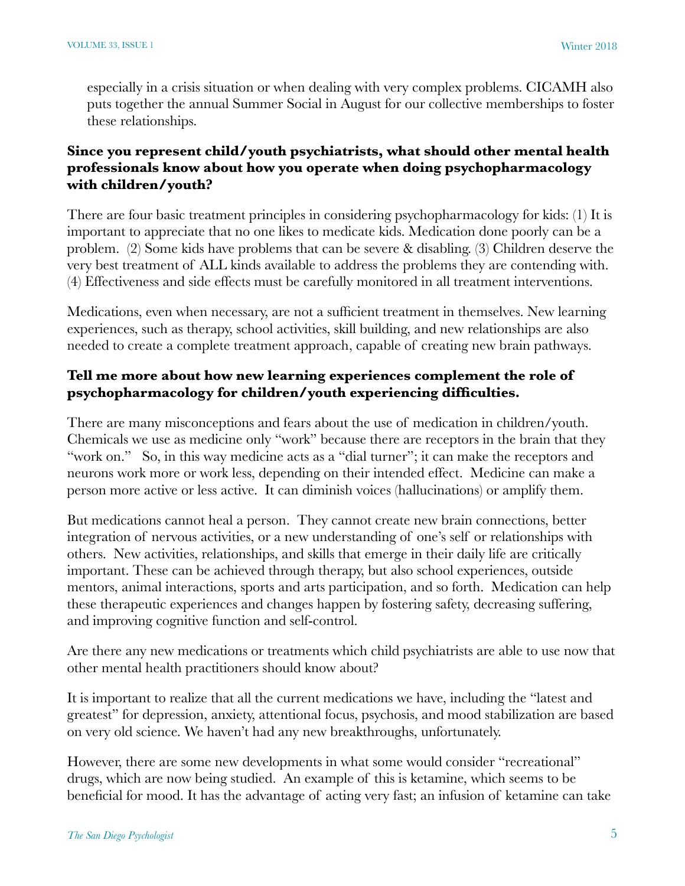especially in a crisis situation or when dealing with very complex problems. CICAMH also puts together the annual Summer Social in August for our collective memberships to foster these relationships.

## **Since you represent child/youth psychiatrists, what should other mental health professionals know about how you operate when doing psychopharmacology with children/youth?**

There are four basic treatment principles in considering psychopharmacology for kids: (1) It is important to appreciate that no one likes to medicate kids. Medication done poorly can be a problem. (2) Some kids have problems that can be severe & disabling. (3) Children deserve the very best treatment of ALL kinds available to address the problems they are contending with. (4) Effectiveness and side effects must be carefully monitored in all treatment interventions.

Medications, even when necessary, are not a sufficient treatment in themselves. New learning experiences, such as therapy, school activities, skill building, and new relationships are also needed to create a complete treatment approach, capable of creating new brain pathways.

## **Tell me more about how new learning experiences complement the role of psychopharmacology for children/youth experiencing difficulties.**

There are many misconceptions and fears about the use of medication in children/youth. Chemicals we use as medicine only "work" because there are receptors in the brain that they "work on." So, in this way medicine acts as a "dial turner"; it can make the receptors and neurons work more or work less, depending on their intended effect. Medicine can make a person more active or less active. It can diminish voices (hallucinations) or amplify them.

But medications cannot heal a person. They cannot create new brain connections, better integration of nervous activities, or a new understanding of one's self or relationships with others. New activities, relationships, and skills that emerge in their daily life are critically important. These can be achieved through therapy, but also school experiences, outside mentors, animal interactions, sports and arts participation, and so forth. Medication can help these therapeutic experiences and changes happen by fostering safety, decreasing suffering, and improving cognitive function and self-control.

Are there any new medications or treatments which child psychiatrists are able to use now that other mental health practitioners should know about?

It is important to realize that all the current medications we have, including the "latest and greatest" for depression, anxiety, attentional focus, psychosis, and mood stabilization are based on very old science. We haven't had any new breakthroughs, unfortunately.

However, there are some new developments in what some would consider "recreational" drugs, which are now being studied. An example of this is ketamine, which seems to be beneficial for mood. It has the advantage of acting very fast; an infusion of ketamine can take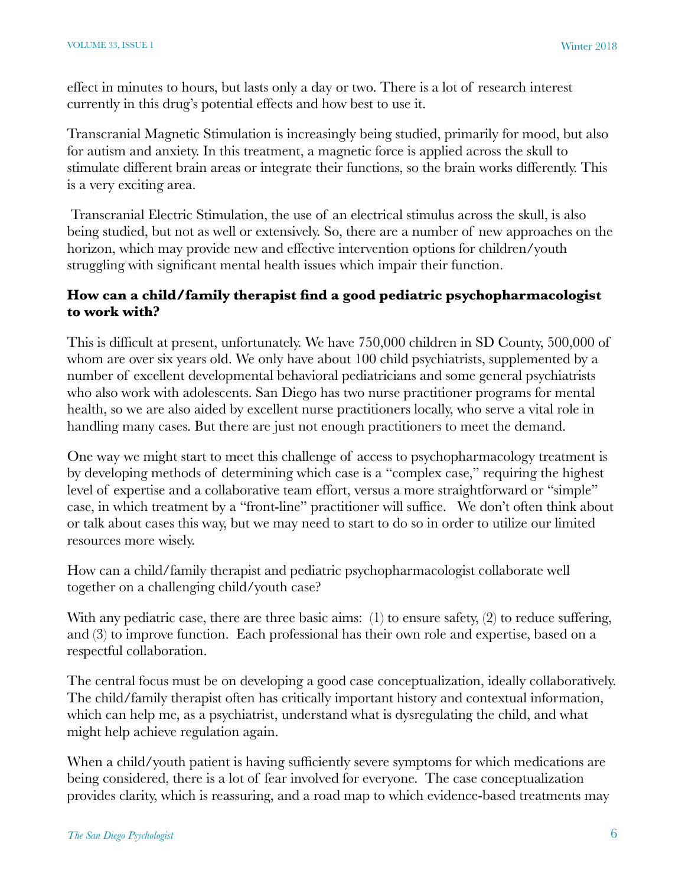effect in minutes to hours, but lasts only a day or two. There is a lot of research interest currently in this drug's potential effects and how best to use it.

Transcranial Magnetic Stimulation is increasingly being studied, primarily for mood, but also for autism and anxiety. In this treatment, a magnetic force is applied across the skull to stimulate different brain areas or integrate their functions, so the brain works differently. This is a very exciting area.

 Transcranial Electric Stimulation, the use of an electrical stimulus across the skull, is also being studied, but not as well or extensively. So, there are a number of new approaches on the horizon, which may provide new and effective intervention options for children/youth struggling with significant mental health issues which impair their function.

#### **How can a child/family therapist find a good pediatric psychopharmacologist to work with?**

This is difficult at present, unfortunately. We have 750,000 children in SD County, 500,000 of whom are over six years old. We only have about 100 child psychiatrists, supplemented by a number of excellent developmental behavioral pediatricians and some general psychiatrists who also work with adolescents. San Diego has two nurse practitioner programs for mental health, so we are also aided by excellent nurse practitioners locally, who serve a vital role in handling many cases. But there are just not enough practitioners to meet the demand.

One way we might start to meet this challenge of access to psychopharmacology treatment is by developing methods of determining which case is a "complex case," requiring the highest level of expertise and a collaborative team effort, versus a more straightforward or "simple" case, in which treatment by a "front-line" practitioner will suffice. We don't often think about or talk about cases this way, but we may need to start to do so in order to utilize our limited resources more wisely.

How can a child/family therapist and pediatric psychopharmacologist collaborate well together on a challenging child/youth case?

With any pediatric case, there are three basic aims: (1) to ensure safety, (2) to reduce suffering, and (3) to improve function. Each professional has their own role and expertise, based on a respectful collaboration.

The central focus must be on developing a good case conceptualization, ideally collaboratively. The child/family therapist often has critically important history and contextual information, which can help me, as a psychiatrist, understand what is dysregulating the child, and what might help achieve regulation again.

When a child/youth patient is having sufficiently severe symptoms for which medications are being considered, there is a lot of fear involved for everyone. The case conceptualization provides clarity, which is reassuring, and a road map to which evidence-based treatments may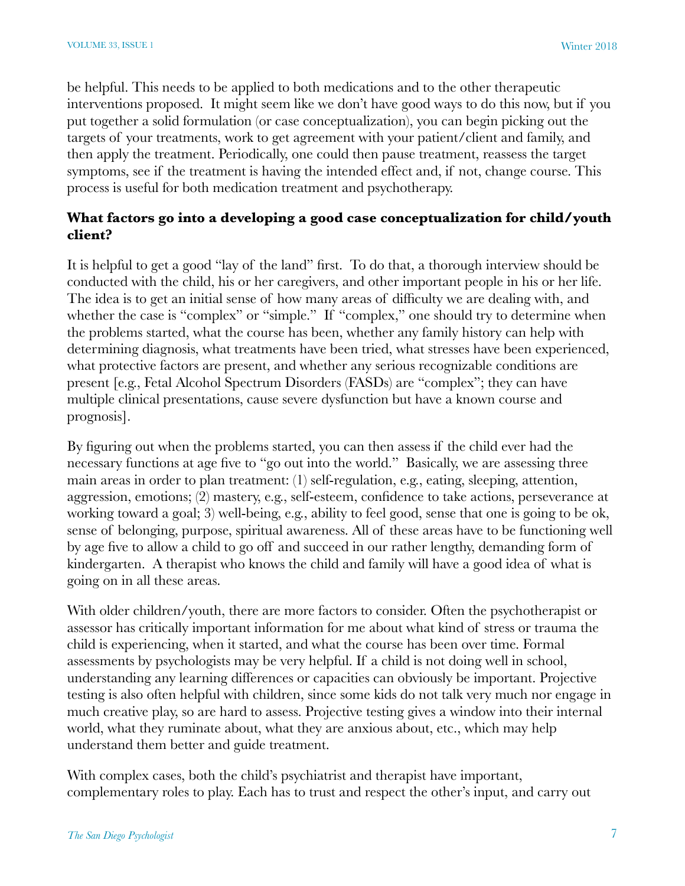be helpful. This needs to be applied to both medications and to the other therapeutic interventions proposed. It might seem like we don't have good ways to do this now, but if you put together a solid formulation (or case conceptualization), you can begin picking out the targets of your treatments, work to get agreement with your patient/client and family, and then apply the treatment. Periodically, one could then pause treatment, reassess the target symptoms, see if the treatment is having the intended effect and, if not, change course. This process is useful for both medication treatment and psychotherapy.

#### **What factors go into a developing a good case conceptualization for child/youth client?**

It is helpful to get a good "lay of the land" first. To do that, a thorough interview should be conducted with the child, his or her caregivers, and other important people in his or her life. The idea is to get an initial sense of how many areas of difficulty we are dealing with, and whether the case is "complex" or "simple." If "complex," one should try to determine when the problems started, what the course has been, whether any family history can help with determining diagnosis, what treatments have been tried, what stresses have been experienced, what protective factors are present, and whether any serious recognizable conditions are present [e.g., Fetal Alcohol Spectrum Disorders (FASDs) are "complex"; they can have multiple clinical presentations, cause severe dysfunction but have a known course and prognosis].

By figuring out when the problems started, you can then assess if the child ever had the necessary functions at age five to "go out into the world." Basically, we are assessing three main areas in order to plan treatment: (1) self-regulation, e.g., eating, sleeping, attention, aggression, emotions; (2) mastery, e.g., self-esteem, confidence to take actions, perseverance at working toward a goal; 3) well-being, e.g., ability to feel good, sense that one is going to be ok, sense of belonging, purpose, spiritual awareness. All of these areas have to be functioning well by age five to allow a child to go off and succeed in our rather lengthy, demanding form of kindergarten. A therapist who knows the child and family will have a good idea of what is going on in all these areas.

With older children/youth, there are more factors to consider. Often the psychotherapist or assessor has critically important information for me about what kind of stress or trauma the child is experiencing, when it started, and what the course has been over time. Formal assessments by psychologists may be very helpful. If a child is not doing well in school, understanding any learning differences or capacities can obviously be important. Projective testing is also often helpful with children, since some kids do not talk very much nor engage in much creative play, so are hard to assess. Projective testing gives a window into their internal world, what they ruminate about, what they are anxious about, etc., which may help understand them better and guide treatment.

With complex cases, both the child's psychiatrist and therapist have important, complementary roles to play. Each has to trust and respect the other's input, and carry out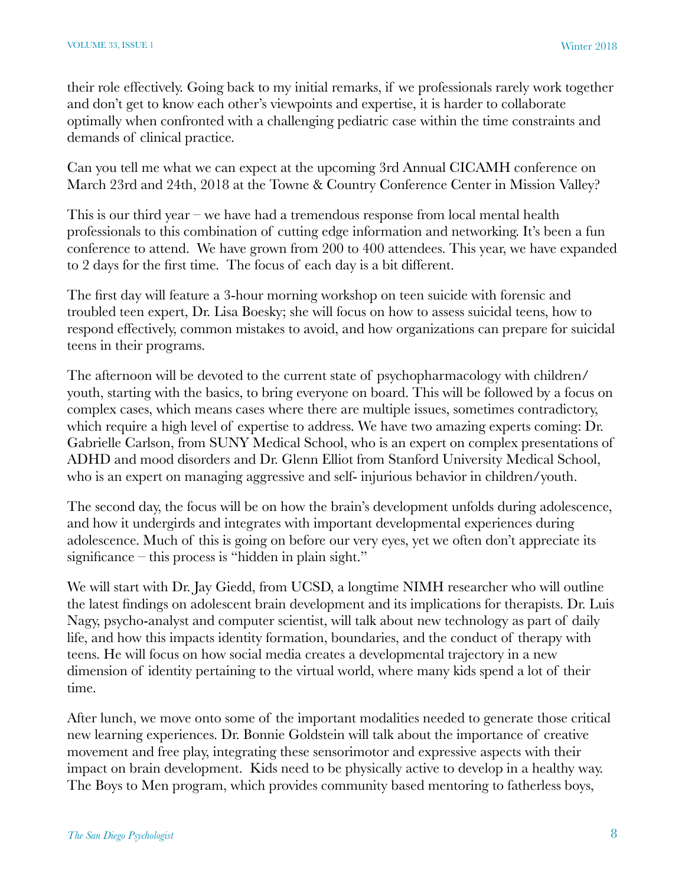their role effectively. Going back to my initial remarks, if we professionals rarely work together and don't get to know each other's viewpoints and expertise, it is harder to collaborate optimally when confronted with a challenging pediatric case within the time constraints and demands of clinical practice.

Can you tell me what we can expect at the upcoming 3rd Annual CICAMH conference on March 23rd and 24th, 2018 at the Towne & Country Conference Center in Mission Valley?

This is our third year – we have had a tremendous response from local mental health professionals to this combination of cutting edge information and networking. It's been a fun conference to attend. We have grown from 200 to 400 attendees. This year, we have expanded to 2 days for the first time. The focus of each day is a bit different.

The first day will feature a 3-hour morning workshop on teen suicide with forensic and troubled teen expert, Dr. Lisa Boesky; she will focus on how to assess suicidal teens, how to respond effectively, common mistakes to avoid, and how organizations can prepare for suicidal teens in their programs.

The afternoon will be devoted to the current state of psychopharmacology with children/ youth, starting with the basics, to bring everyone on board. This will be followed by a focus on complex cases, which means cases where there are multiple issues, sometimes contradictory, which require a high level of expertise to address. We have two amazing experts coming: Dr. Gabrielle Carlson, from SUNY Medical School, who is an expert on complex presentations of ADHD and mood disorders and Dr. Glenn Elliot from Stanford University Medical School, who is an expert on managing aggressive and self- injurious behavior in children/youth.

The second day, the focus will be on how the brain's development unfolds during adolescence, and how it undergirds and integrates with important developmental experiences during adolescence. Much of this is going on before our very eyes, yet we often don't appreciate its significance – this process is "hidden in plain sight."

We will start with Dr. Jay Giedd, from UCSD, a longtime NIMH researcher who will outline the latest findings on adolescent brain development and its implications for therapists. Dr. Luis Nagy, psycho-analyst and computer scientist, will talk about new technology as part of daily life, and how this impacts identity formation, boundaries, and the conduct of therapy with teens. He will focus on how social media creates a developmental trajectory in a new dimension of identity pertaining to the virtual world, where many kids spend a lot of their time.

After lunch, we move onto some of the important modalities needed to generate those critical new learning experiences. Dr. Bonnie Goldstein will talk about the importance of creative movement and free play, integrating these sensorimotor and expressive aspects with their impact on brain development. Kids need to be physically active to develop in a healthy way. The Boys to Men program, which provides community based mentoring to fatherless boys,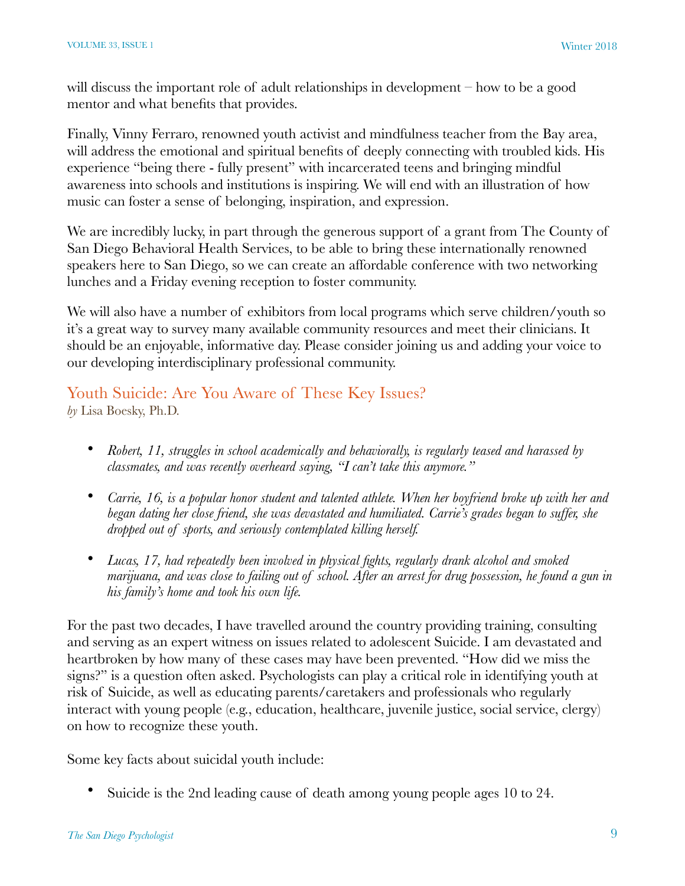will discuss the important role of adult relationships in development – how to be a good mentor and what benefits that provides.

Finally, Vinny Ferraro, renowned youth activist and mindfulness teacher from the Bay area, will address the emotional and spiritual benefits of deeply connecting with troubled kids. His experience "being there - fully present" with incarcerated teens and bringing mindful awareness into schools and institutions is inspiring. We will end with an illustration of how music can foster a sense of belonging, inspiration, and expression.

We are incredibly lucky, in part through the generous support of a grant from The County of San Diego Behavioral Health Services, to be able to bring these internationally renowned speakers here to San Diego, so we can create an affordable conference with two networking lunches and a Friday evening reception to foster community.

We will also have a number of exhibitors from local programs which serve children/youth so it's a great way to survey many available community resources and meet their clinicians. It should be an enjoyable, informative day. Please consider joining us and adding your voice to our developing interdisciplinary professional community.

# Youth Suicide: Are You Aware of These Key Issues?

*by* Lisa Boesky, Ph.D.

- *Robert, 11, struggles in school academically and behaviorally, is regularly teased and harassed by classmates, and was recently overheard saying, "I can't take this anymore."*
- *Carrie, 16, is a popular honor student and talented athlete. When her boyfriend broke up with her and began dating her close friend, she was devastated and humiliated. Carrie's grades began to suffer, she dropped out of sports, and seriously contemplated killing herself.*
- *Lucas, 17, had repeatedly been involved in physical fights, regularly drank alcohol and smoked marijuana, and was close to failing out of school. After an arrest for drug possession, he found a gun in his family's home and took his own life.*

For the past two decades, I have travelled around the country providing training, consulting and serving as an expert witness on issues related to adolescent Suicide. I am devastated and heartbroken by how many of these cases may have been prevented. "How did we miss the signs?" is a question often asked. Psychologists can play a critical role in identifying youth at risk of Suicide, as well as educating parents/caretakers and professionals who regularly interact with young people (e.g., education, healthcare, juvenile justice, social service, clergy) on how to recognize these youth.

Some key facts about suicidal youth include:

• Suicide is the 2nd leading cause of death among young people ages 10 to 24.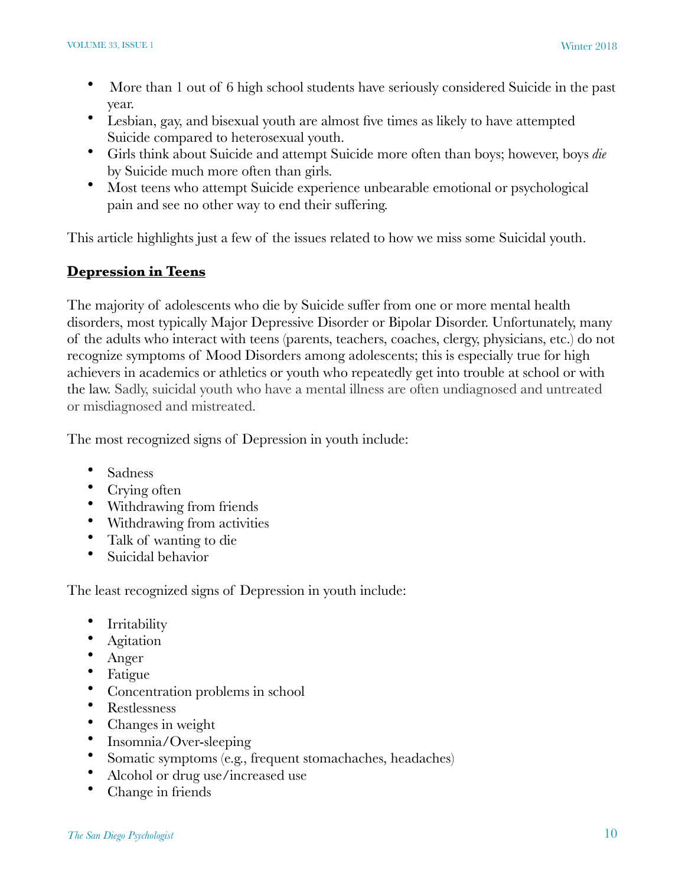- More than 1 out of 6 high school students have seriously considered Suicide in the past year.
- Lesbian, gay, and bisexual youth are almost five times as likely to have attempted Suicide compared to heterosexual youth.
- Girls think about Suicide and attempt Suicide more often than boys; however, boys *die* by Suicide much more often than girls.
- Most teens who attempt Suicide experience unbearable emotional or psychological pain and see no other way to end their suffering.

This article highlights just a few of the issues related to how we miss some Suicidal youth.

#### **Depression in Teens**

The majority of adolescents who die by Suicide suffer from one or more mental health disorders, most typically Major Depressive Disorder or Bipolar Disorder. Unfortunately, many of the adults who interact with teens (parents, teachers, coaches, clergy, physicians, etc.) do not recognize symptoms of Mood Disorders among adolescents; this is especially true for high achievers in academics or athletics or youth who repeatedly get into trouble at school or with the law. Sadly, suicidal youth who have a mental illness are often undiagnosed and untreated or misdiagnosed and mistreated.

The most recognized signs of Depression in youth include:

- Sadness
- Crying often
- Withdrawing from friends
- Withdrawing from activities
- Talk of wanting to die
- Suicidal behavior

The least recognized signs of Depression in youth include:

- Irritability
- **Agitation**
- Anger
- Fatigue
- Concentration problems in school
- Restlessness
- Changes in weight
- Insomnia/Over-sleeping
- Somatic symptoms (e.g., frequent stomachaches, headaches)
- Alcohol or drug use/increased use
- Change in friends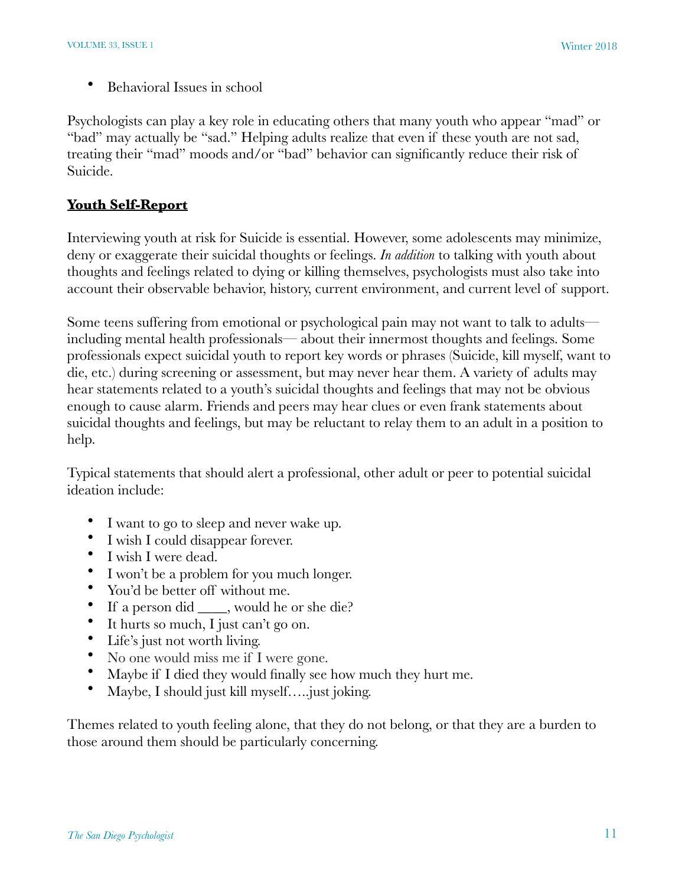• Behavioral Issues in school

Psychologists can play a key role in educating others that many youth who appear "mad" or "bad" may actually be "sad." Helping adults realize that even if these youth are not sad, treating their "mad" moods and/or "bad" behavior can significantly reduce their risk of Suicide.

#### **Youth Self-Report**

Interviewing youth at risk for Suicide is essential. However, some adolescents may minimize, deny or exaggerate their suicidal thoughts or feelings. *In addition* to talking with youth about thoughts and feelings related to dying or killing themselves, psychologists must also take into account their observable behavior, history, current environment, and current level of support.

Some teens suffering from emotional or psychological pain may not want to talk to adults including mental health professionals— about their innermost thoughts and feelings. Some professionals expect suicidal youth to report key words or phrases (Suicide, kill myself, want to die, etc.) during screening or assessment, but may never hear them. A variety of adults may hear statements related to a youth's suicidal thoughts and feelings that may not be obvious enough to cause alarm. Friends and peers may hear clues or even frank statements about suicidal thoughts and feelings, but may be reluctant to relay them to an adult in a position to help.

Typical statements that should alert a professional, other adult or peer to potential suicidal ideation include:

- I want to go to sleep and never wake up.
- I wish I could disappear forever.
- I wish I were dead.
- I won't be a problem for you much longer.
- You'd be better off without me.
- If a person did \_\_\_, would he or she die?<br>• It burts so much I just can't go on
- It hurts so much, I just can't go on.
- Life's just not worth living.
- No one would miss me if I were gone.
- Maybe if I died they would finally see how much they hurt me.
- Maybe, I should just kill myself.....just joking.

Themes related to youth feeling alone, that they do not belong, or that they are a burden to those around them should be particularly concerning.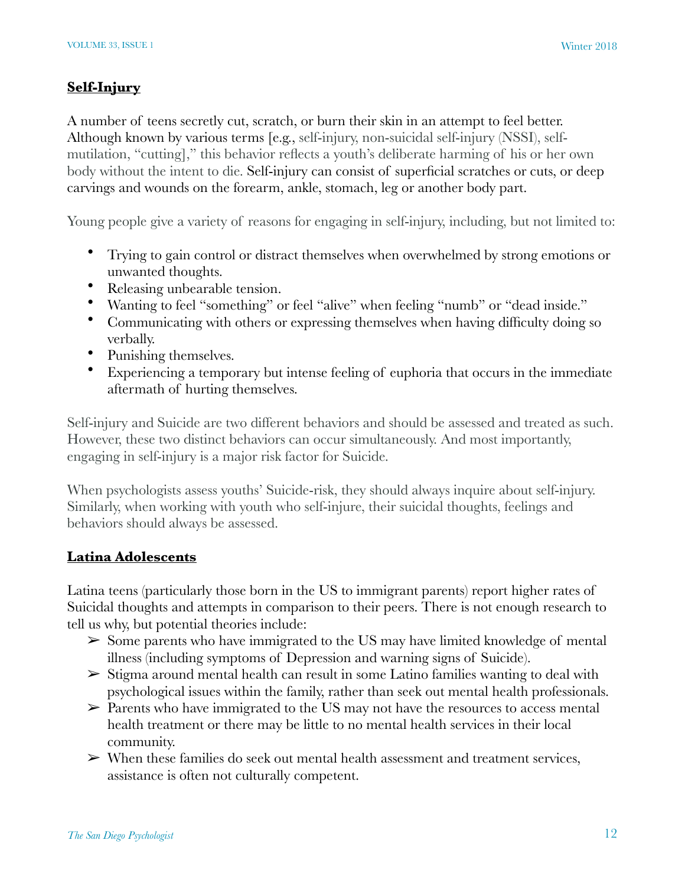## **Self-Injury**

A number of teens secretly cut, scratch, or burn their skin in an attempt to feel better. Although known by various terms [e.g., self-injury, non-suicidal self-injury (NSSI), selfmutilation, "cutting]," this behavior reflects a youth's deliberate harming of his or her own body without the intent to die. Self-injury can consist of superficial scratches or cuts, or deep carvings and wounds on the forearm, ankle, stomach, leg or another body part.

Young people give a variety of reasons for engaging in self-injury, including, but not limited to:

- Trying to gain control or distract themselves when overwhelmed by strong emotions or unwanted thoughts.
- Releasing unbearable tension.
- Wanting to feel "something" or feel "alive" when feeling "numb" or "dead inside."
- Communicating with others or expressing themselves when having difficulty doing so verbally.
- Punishing themselves.
- Experiencing a temporary but intense feeling of euphoria that occurs in the immediate aftermath of hurting themselves.

Self-injury and Suicide are two different behaviors and should be assessed and treated as such. However, these two distinct behaviors can occur simultaneously. And most importantly, engaging in self-injury is a major risk factor for Suicide.

When psychologists assess youths' Suicide-risk, they should always inquire about self-injury. Similarly, when working with youth who self-injure, their suicidal thoughts, feelings and behaviors should always be assessed.

#### **Latina Adolescents**

Latina teens (particularly those born in the US to immigrant parents) report higher rates of Suicidal thoughts and attempts in comparison to their peers. There is not enough research to tell us why, but potential theories include:

- $\geq$  Some parents who have immigrated to the US may have limited knowledge of mental illness (including symptoms of Depression and warning signs of Suicide).
- $\triangleright$  Stigma around mental health can result in some Latino families wanting to deal with psychological issues within the family, rather than seek out mental health professionals.
- $\triangleright$  Parents who have immigrated to the US may not have the resources to access mental health treatment or there may be little to no mental health services in their local community.
- $\triangleright$  When these families do seek out mental health assessment and treatment services, assistance is often not culturally competent.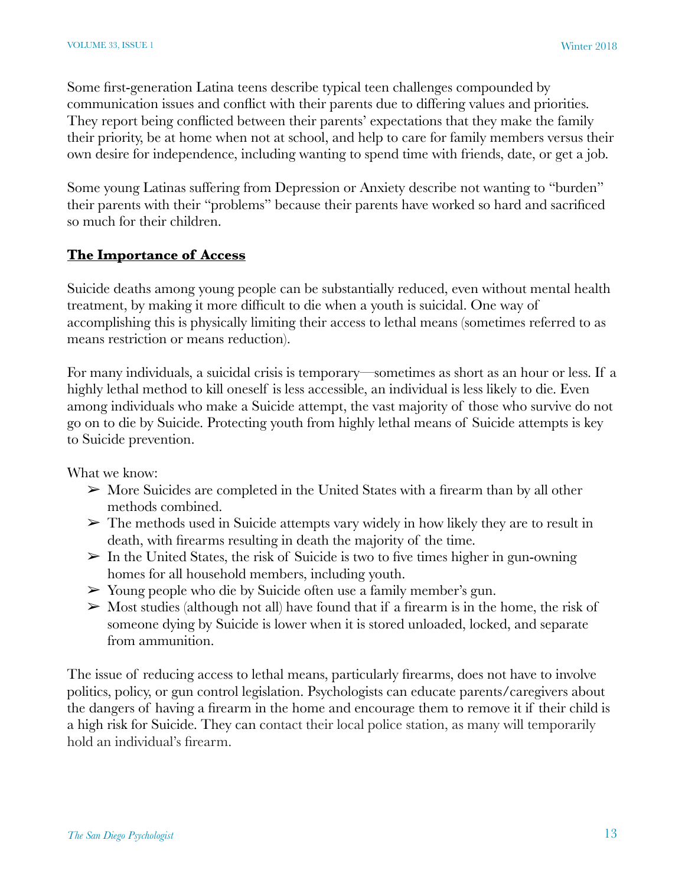Some first-generation Latina teens describe typical teen challenges compounded by communication issues and conflict with their parents due to differing values and priorities. They report being conflicted between their parents' expectations that they make the family their priority, be at home when not at school, and help to care for family members versus their own desire for independence, including wanting to spend time with friends, date, or get a job.

Some young Latinas suffering from Depression or Anxiety describe not wanting to "burden" their parents with their "problems" because their parents have worked so hard and sacrificed so much for their children.

## **The Importance of Access**

Suicide deaths among young people can be substantially reduced, even without mental health treatment, by making it more difficult to die when a youth is suicidal. One way of accomplishing this is physically limiting their access to lethal means (sometimes referred to as means restriction or means reduction).

For many individuals, a suicidal crisis is temporary—sometimes as short as an hour or less. If a highly lethal method to kill oneself is less accessible, an individual is less likely to die. Even among individuals who make a Suicide attempt, the vast majority of those who survive do not go on to die by Suicide. Protecting youth from highly lethal means of Suicide attempts is key to Suicide prevention.

What we know:

- $\triangleright$  More Suicides are completed in the United States with a firearm than by all other methods combined.
- $\triangleright$  The methods used in Suicide attempts vary widely in how likely they are to result in death, with firearms resulting in death the majority of the time.
- $\triangleright$  In the United States, the risk of Suicide is two to five times higher in gun-owning homes for all household members, including youth.
- $\triangleright$  Young people who die by Suicide often use a family member's gun.
- $\triangleright$  Most studies (although not all) have found that if a firearm is in the home, the risk of someone dying by Suicide is lower when it is stored unloaded, locked, and separate from ammunition.

The issue of reducing access to lethal means, particularly firearms, does not have to involve politics, policy, or gun control legislation. Psychologists can educate parents/caregivers about the dangers of having a firearm in the home and encourage them to remove it if their child is a high risk for Suicide. They can contact their local police station, as many will temporarily hold an individual's firearm.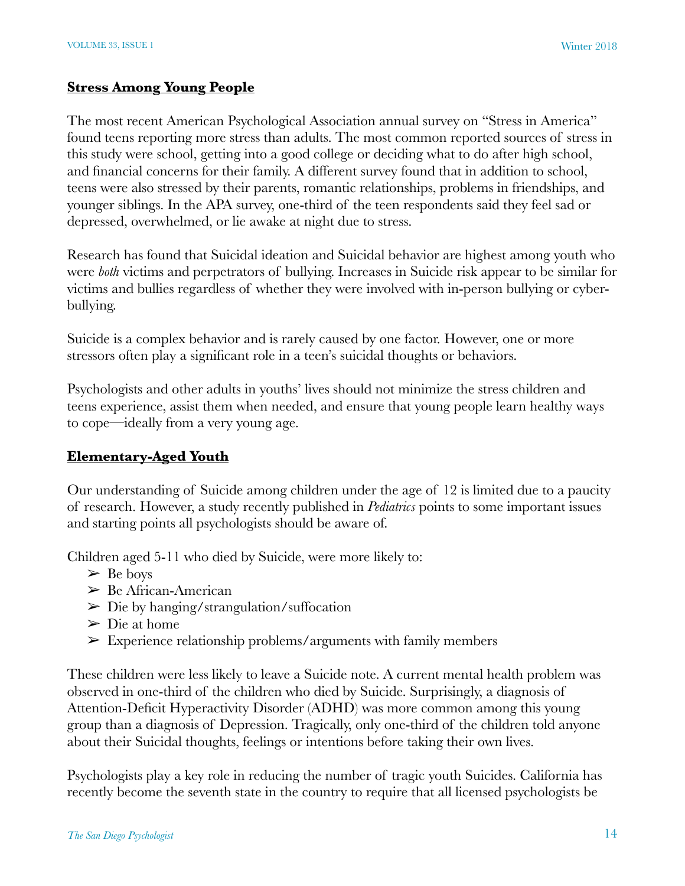#### **Stress Among Young People**

The most recent American Psychological Association annual survey on "Stress in America" found teens reporting more stress than adults. The most common reported sources of stress in this study were school, getting into a good college or deciding what to do after high school, and financial concerns for their family. A different survey found that in addition to school, teens were also stressed by their parents, romantic relationships, problems in friendships, and younger siblings. In the APA survey, one-third of the teen respondents said they feel sad or depressed, overwhelmed, or lie awake at night due to stress.

Research has found that Suicidal ideation and Suicidal behavior are highest among youth who were *both* victims and perpetrators of bullying. Increases in Suicide risk appear to be similar for victims and bullies regardless of whether they were involved with in-person bullying or cyberbullying.

Suicide is a complex behavior and is rarely caused by one factor. However, one or more stressors often play a significant role in a teen's suicidal thoughts or behaviors.

Psychologists and other adults in youths' lives should not minimize the stress children and teens experience, assist them when needed, and ensure that young people learn healthy ways to cope—ideally from a very young age.

#### **Elementary-Aged Youth**

Our understanding of Suicide among children under the age of 12 is limited due to a paucity of research. However, a study recently published in *Pediatrics* points to some important issues and starting points all psychologists should be aware of.

Children aged 5-11 who died by Suicide, were more likely to:

- $\triangleright$  Be boys
- ➢ Be African-American
- $\triangleright$  Die by hanging/strangulation/suffocation
- $\triangleright$  Die at home
- $\triangleright$  Experience relationship problems/arguments with family members

These children were less likely to leave a Suicide note. A current mental health problem was observed in one-third of the children who died by Suicide. Surprisingly, a diagnosis of Attention-Deficit Hyperactivity Disorder (ADHD) was more common among this young group than a diagnosis of Depression. Tragically, only one-third of the children told anyone about their Suicidal thoughts, feelings or intentions before taking their own lives.

Psychologists play a key role in reducing the number of tragic youth Suicides. California has recently become the seventh state in the country to require that all licensed psychologists be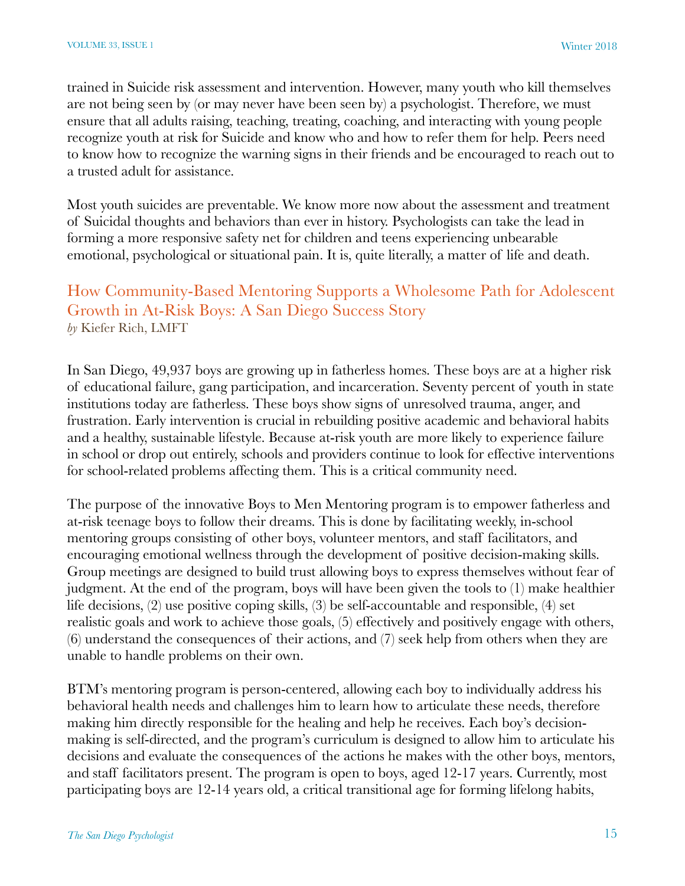trained in Suicide risk assessment and intervention. However, many youth who kill themselves are not being seen by (or may never have been seen by) a psychologist. Therefore, we must ensure that all adults raising, teaching, treating, coaching, and interacting with young people recognize youth at risk for Suicide and know who and how to refer them for help. Peers need to know how to recognize the warning signs in their friends and be encouraged to reach out to a trusted adult for assistance.

Most youth suicides are preventable. We know more now about the assessment and treatment of Suicidal thoughts and behaviors than ever in history. Psychologists can take the lead in forming a more responsive safety net for children and teens experiencing unbearable emotional, psychological or situational pain. It is, quite literally, a matter of life and death.

## How Community-Based Mentoring Supports a Wholesome Path for Adolescent Growth in At-Risk Boys: A San Diego Success Story *by* Kiefer Rich, LMFT

In San Diego, 49,937 boys are growing up in fatherless homes. These boys are at a higher risk of educational failure, gang participation, and incarceration. Seventy percent of youth in state institutions today are fatherless. These boys show signs of unresolved trauma, anger, and frustration. Early intervention is crucial in rebuilding positive academic and behavioral habits and a healthy, sustainable lifestyle. Because at-risk youth are more likely to experience failure in school or drop out entirely, schools and providers continue to look for effective interventions for school-related problems affecting them. This is a critical community need.

The purpose of the innovative Boys to Men Mentoring program is to empower fatherless and at-risk teenage boys to follow their dreams. This is done by facilitating weekly, in-school mentoring groups consisting of other boys, volunteer mentors, and staff facilitators, and encouraging emotional wellness through the development of positive decision-making skills. Group meetings are designed to build trust allowing boys to express themselves without fear of judgment. At the end of the program, boys will have been given the tools to (1) make healthier life decisions, (2) use positive coping skills, (3) be self-accountable and responsible, (4) set realistic goals and work to achieve those goals, (5) effectively and positively engage with others, (6) understand the consequences of their actions, and (7) seek help from others when they are unable to handle problems on their own.

BTM's mentoring program is person-centered, allowing each boy to individually address his behavioral health needs and challenges him to learn how to articulate these needs, therefore making him directly responsible for the healing and help he receives. Each boy's decisionmaking is self-directed, and the program's curriculum is designed to allow him to articulate his decisions and evaluate the consequences of the actions he makes with the other boys, mentors, and staff facilitators present. The program is open to boys, aged 12-17 years. Currently, most participating boys are 12-14 years old, a critical transitional age for forming lifelong habits,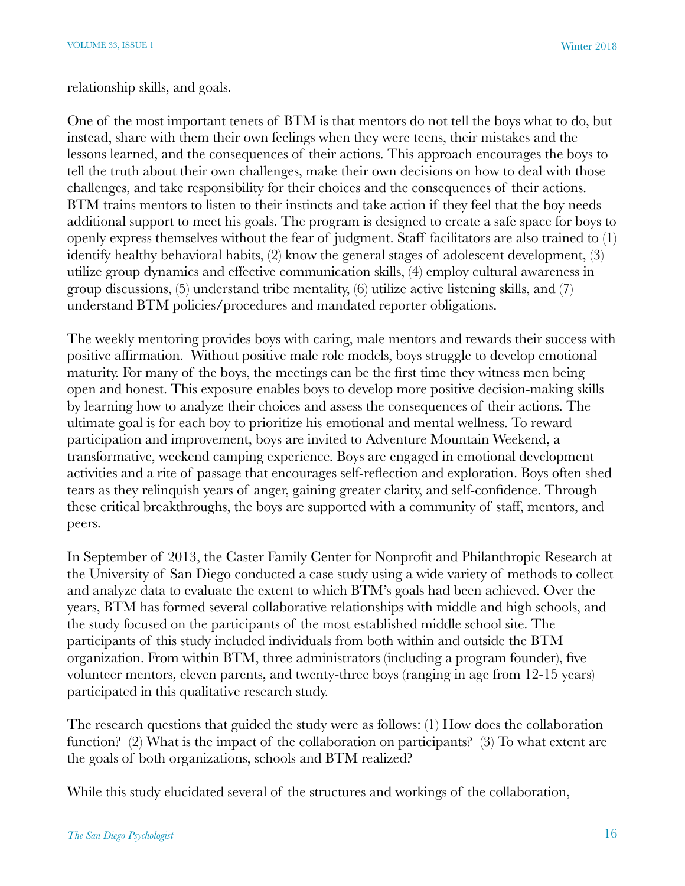relationship skills, and goals.

One of the most important tenets of BTM is that mentors do not tell the boys what to do, but instead, share with them their own feelings when they were teens, their mistakes and the lessons learned, and the consequences of their actions. This approach encourages the boys to tell the truth about their own challenges, make their own decisions on how to deal with those challenges, and take responsibility for their choices and the consequences of their actions. BTM trains mentors to listen to their instincts and take action if they feel that the boy needs additional support to meet his goals. The program is designed to create a safe space for boys to openly express themselves without the fear of judgment. Staff facilitators are also trained to (1) identify healthy behavioral habits, (2) know the general stages of adolescent development, (3) utilize group dynamics and effective communication skills, (4) employ cultural awareness in group discussions, (5) understand tribe mentality, (6) utilize active listening skills, and (7) understand BTM policies/procedures and mandated reporter obligations.

The weekly mentoring provides boys with caring, male mentors and rewards their success with positive affirmation. Without positive male role models, boys struggle to develop emotional maturity. For many of the boys, the meetings can be the first time they witness men being open and honest. This exposure enables boys to develop more positive decision-making skills by learning how to analyze their choices and assess the consequences of their actions. The ultimate goal is for each boy to prioritize his emotional and mental wellness. To reward participation and improvement, boys are invited to Adventure Mountain Weekend, a transformative, weekend camping experience. Boys are engaged in emotional development activities and a rite of passage that encourages self-reflection and exploration. Boys often shed tears as they relinquish years of anger, gaining greater clarity, and self-confidence. Through these critical breakthroughs, the boys are supported with a community of staff, mentors, and peers.

In September of 2013, the Caster Family Center for Nonprofit and Philanthropic Research at the University of San Diego conducted a case study using a wide variety of methods to collect and analyze data to evaluate the extent to which BTM's goals had been achieved. Over the years, BTM has formed several collaborative relationships with middle and high schools, and the study focused on the participants of the most established middle school site. The participants of this study included individuals from both within and outside the BTM organization. From within BTM, three administrators (including a program founder), five volunteer mentors, eleven parents, and twenty-three boys (ranging in age from 12-15 years) participated in this qualitative research study.

The research questions that guided the study were as follows: (1) How does the collaboration function? (2) What is the impact of the collaboration on participants? (3) To what extent are the goals of both organizations, schools and BTM realized?

While this study elucidated several of the structures and workings of the collaboration,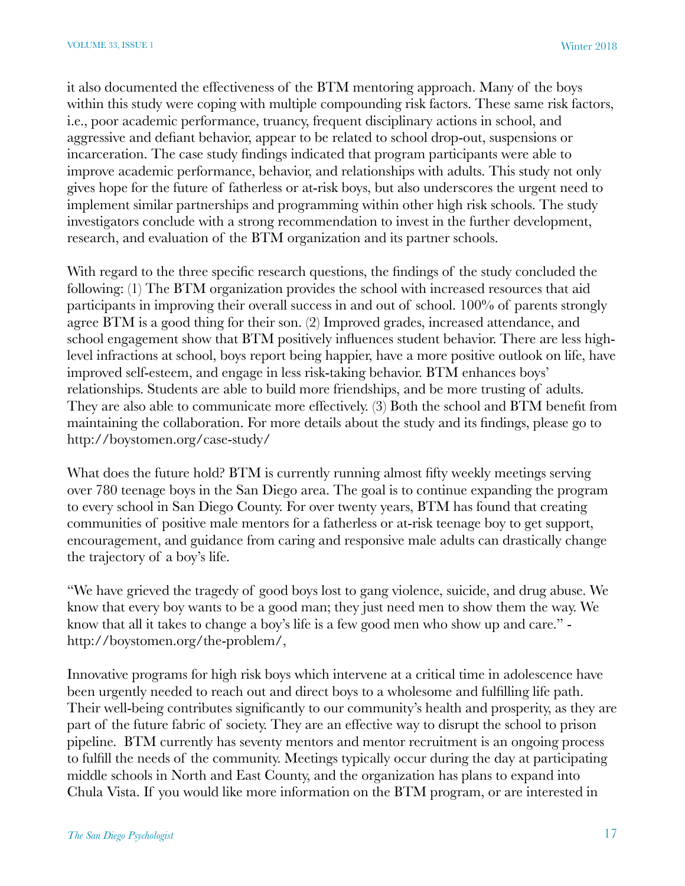it also documented the effectiveness of the BTM mentoring approach. Many of the boys within this study were coping with multiple compounding risk factors. These same risk factors, i.e., poor academic performance, truancy, frequent disciplinary actions in school, and aggressive and defiant behavior, appear to be related to school drop-out, suspensions or incarceration. The case study findings indicated that program participants were able to improve academic performance, behavior, and relationships with adults. This study not only gives hope for the future of fatherless or at-risk boys, but also underscores the urgent need to implement similar partnerships and programming within other high risk schools. The study investigators conclude with a strong recommendation to invest in the further development, research, and evaluation of the BTM organization and its partner schools.

With regard to the three specific research questions, the findings of the study concluded the following: (1) The BTM organization provides the school with increased resources that aid participants in improving their overall success in and out of school. 100% of parents strongly agree BTM is a good thing for their son. (2) Improved grades, increased attendance, and school engagement show that BTM positively influences student behavior. There are less highlevel infractions at school, boys report being happier, have a more positive outlook on life, have improved self-esteem, and engage in less risk-taking behavior. BTM enhances boys' relationships. Students are able to build more friendships, and be more trusting of adults. They are also able to communicate more effectively. (3) Both the school and BTM benefit from maintaining the collaboration. For more details about the study and its findings, please go to http://boystomen.org/case-study/

What does the future hold? BTM is currently running almost fifty weekly meetings serving over 780 teenage boys in the San Diego area. The goal is to continue expanding the program to every school in San Diego County. For over twenty years, BTM has found that creating communities of positive male mentors for a fatherless or at-risk teenage boy to get support, encouragement, and guidance from caring and responsive male adults can drastically change the trajectory of a boy's life.

"We have grieved the tragedy of good boys lost to gang violence, suicide, and drug abuse. We know that every boy wants to be a good man; they just need men to show them the way. We know that all it takes to change a boy's life is a few good men who show up and care." http://boystomen.org/the-problem/,

Innovative programs for high risk boys which intervene at a critical time in adolescence have been urgently needed to reach out and direct boys to a wholesome and fulfilling life path. Their well-being contributes significantly to our community's health and prosperity, as they are part of the future fabric of society. They are an effective way to disrupt the school to prison pipeline. BTM currently has seventy mentors and mentor recruitment is an ongoing process to fulfill the needs of the community. Meetings typically occur during the day at participating middle schools in North and East County, and the organization has plans to expand into Chula Vista. If you would like more information on the BTM program, or are interested in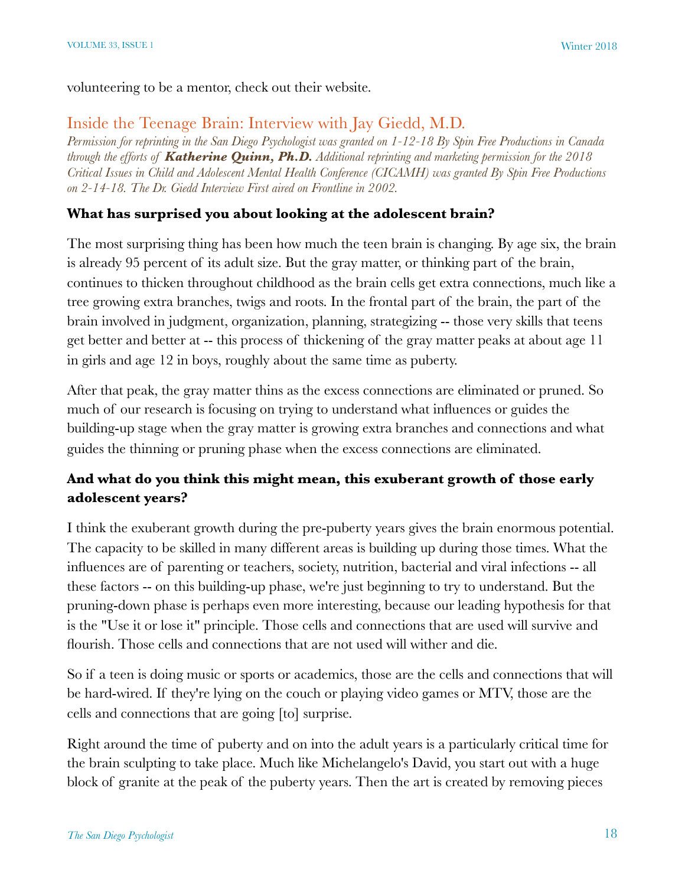#### volunteering to be a mentor, check out their website.

## Inside the Teenage Brain: Interview with Jay Giedd, M.D.

*Permission for reprinting in the San Diego Psychologist was granted on 1-12-18 By Spin Free Productions in Canada through the efforts of Katherine Quinn, Ph.D. Additional reprinting and marketing permission for the 2018 Critical Issues in Child and Adolescent Mental Health Conference (CICAMH) was granted By Spin Free Productions on 2-14-18. The Dr. Giedd Interview First aired on Frontline in 2002.*

#### **What has surprised you about looking at the adolescent brain?**

The most surprising thing has been how much the teen brain is changing. By age six, the brain is already 95 percent of its adult size. But the gray matter, or thinking part of the brain, continues to thicken throughout childhood as the brain cells get extra connections, much like a tree growing extra branches, twigs and roots. In the frontal part of the brain, the part of the brain involved in judgment, organization, planning, strategizing -- those very skills that teens get better and better at -- this process of thickening of the gray matter peaks at about age 11 in girls and age 12 in boys, roughly about the same time as puberty.

After that peak, the gray matter thins as the excess connections are eliminated or pruned. So much of our research is focusing on trying to understand what influences or guides the building-up stage when the gray matter is growing extra branches and connections and what guides the thinning or pruning phase when the excess connections are eliminated.

## **And what do you think this might mean, this exuberant growth of those early adolescent years?**

I think the exuberant growth during the pre-puberty years gives the brain enormous potential. The capacity to be skilled in many different areas is building up during those times. What the influences are of parenting or teachers, society, nutrition, bacterial and viral infections -- all these factors -- on this building-up phase, we're just beginning to try to understand. But the pruning-down phase is perhaps even more interesting, because our leading hypothesis for that is the "Use it or lose it" principle. Those cells and connections that are used will survive and flourish. Those cells and connections that are not used will wither and die.

So if a teen is doing music or sports or academics, those are the cells and connections that will be hard-wired. If they're lying on the couch or playing video games or MTV, those are the cells and connections that are going [to] surprise.

Right around the time of puberty and on into the adult years is a particularly critical time for the brain sculpting to take place. Much like Michelangelo's David, you start out with a huge block of granite at the peak of the puberty years. Then the art is created by removing pieces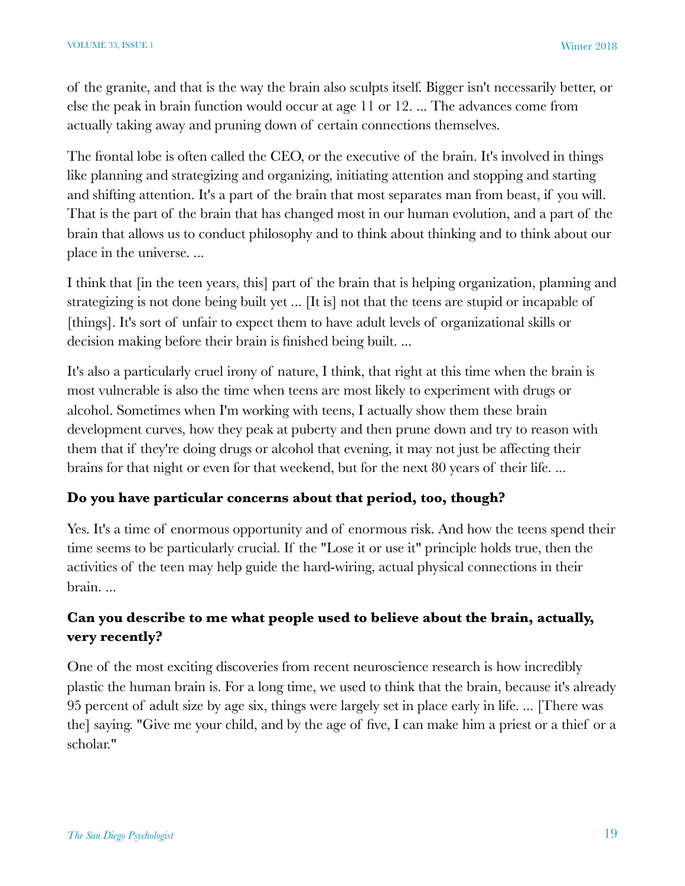of the granite, and that is the way the brain also sculpts itself. Bigger isn't necessarily better, or else the peak in brain function would occur at age 11 or 12. ... The advances come from actually taking away and pruning down of certain connections themselves.

The frontal lobe is often called the CEO, or the executive of the brain. It's involved in things like planning and strategizing and organizing, initiating attention and stopping and starting and shifting attention. It's a part of the brain that most separates man from beast, if you will. That is the part of the brain that has changed most in our human evolution, and a part of the brain that allows us to conduct philosophy and to think about thinking and to think about our place in the universe. ...

I think that [in the teen years, this] part of the brain that is helping organization, planning and strategizing is not done being built yet ... [It is] not that the teens are stupid or incapable of [things]. It's sort of unfair to expect them to have adult levels of organizational skills or decision making before their brain is finished being built. ...

It's also a particularly cruel irony of nature, I think, that right at this time when the brain is most vulnerable is also the time when teens are most likely to experiment with drugs or alcohol. Sometimes when I'm working with teens, I actually show them these brain development curves, how they peak at puberty and then prune down and try to reason with them that if they're doing drugs or alcohol that evening, it may not just be affecting their brains for that night or even for that weekend, but for the next 80 years of their life. ...

#### **Do you have particular concerns about that period, too, though?**

Yes. It's a time of enormous opportunity and of enormous risk. And how the teens spend their time seems to be particularly crucial. If the "Lose it or use it" principle holds true, then the activities of the teen may help guide the hard-wiring, actual physical connections in their brain. ...

## **Can you describe to me what people used to believe about the brain, actually, very recently?**

One of the most exciting discoveries from recent neuroscience research is how incredibly plastic the human brain is. For a long time, we used to think that the brain, because it's already 95 percent of adult size by age six, things were largely set in place early in life. ... [There was the] saying. "Give me your child, and by the age of five, I can make him a priest or a thief or a scholar."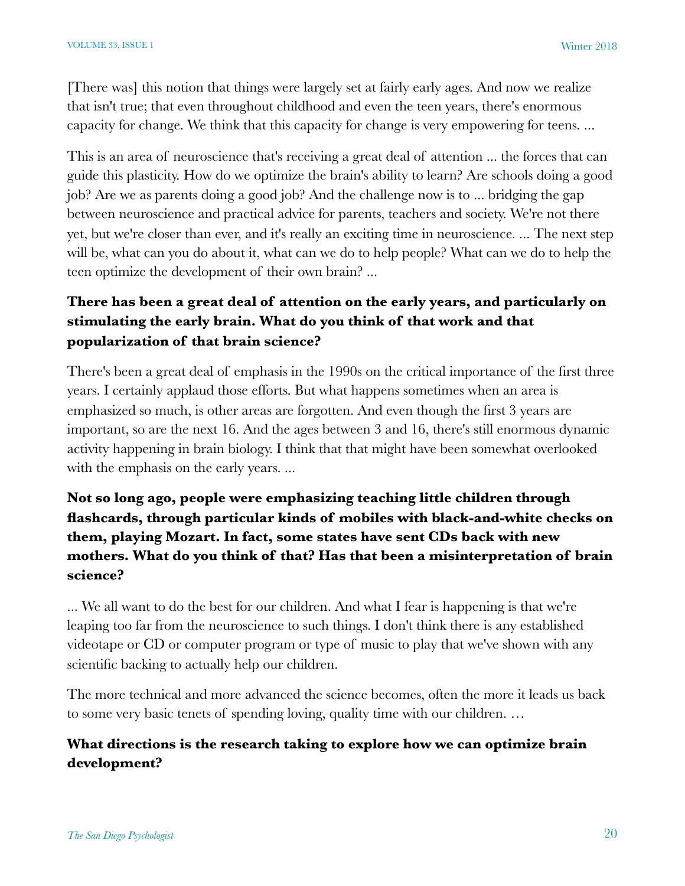[There was] this notion that things were largely set at fairly early ages. And now we realize that isn't true; that even throughout childhood and even the teen years, there's enormous capacity for change. We think that this capacity for change is very empowering for teens. ...

This is an area of neuroscience that's receiving a great deal of attention ... the forces that can guide this plasticity. How do we optimize the brain's ability to learn? Are schools doing a good job? Are we as parents doing a good job? And the challenge now is to ... bridging the gap between neuroscience and practical advice for parents, teachers and society. We're not there yet, but we're closer than ever, and it's really an exciting time in neuroscience. ... The next step will be, what can you do about it, what can we do to help people? What can we do to help the teen optimize the development of their own brain? ...

## **There has been a great deal of attention on the early years, and particularly on stimulating the early brain. What do you think of that work and that popularization of that brain science?**

There's been a great deal of emphasis in the 1990s on the critical importance of the first three years. I certainly applaud those efforts. But what happens sometimes when an area is emphasized so much, is other areas are forgotten. And even though the first 3 years are important, so are the next 16. And the ages between 3 and 16, there's still enormous dynamic activity happening in brain biology. I think that that might have been somewhat overlooked with the emphasis on the early years. ...

## **Not so long ago, people were emphasizing teaching little children through flashcards, through particular kinds of mobiles with black-and-white checks on them, playing Mozart. In fact, some states have sent CDs back with new mothers. What do you think of that? Has that been a misinterpretation of brain science?**

... We all want to do the best for our children. And what I fear is happening is that we're leaping too far from the neuroscience to such things. I don't think there is any established videotape or CD or computer program or type of music to play that we've shown with any scientific backing to actually help our children.

The more technical and more advanced the science becomes, often the more it leads us back to some very basic tenets of spending loving, quality time with our children. …

## **What directions is the research taking to explore how we can optimize brain development?**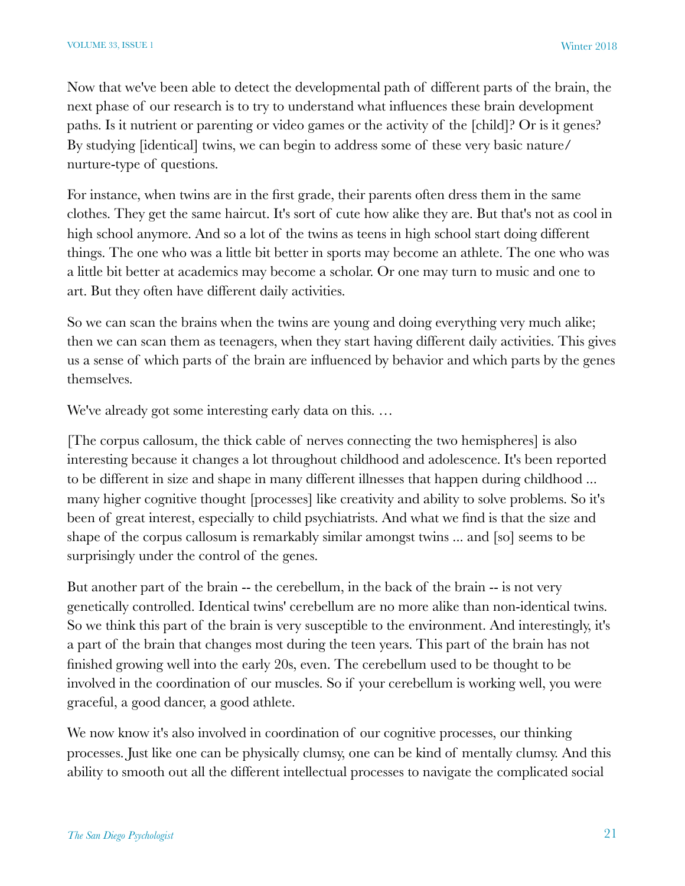Now that we've been able to detect the developmental path of different parts of the brain, the next phase of our research is to try to understand what influences these brain development paths. Is it nutrient or parenting or video games or the activity of the [child]? Or is it genes? By studying [identical] twins, we can begin to address some of these very basic nature/ nurture-type of questions.

For instance, when twins are in the first grade, their parents often dress them in the same clothes. They get the same haircut. It's sort of cute how alike they are. But that's not as cool in high school anymore. And so a lot of the twins as teens in high school start doing different things. The one who was a little bit better in sports may become an athlete. The one who was a little bit better at academics may become a scholar. Or one may turn to music and one to art. But they often have different daily activities.

So we can scan the brains when the twins are young and doing everything very much alike; then we can scan them as teenagers, when they start having different daily activities. This gives us a sense of which parts of the brain are influenced by behavior and which parts by the genes themselves.

We've already got some interesting early data on this. …

[The corpus callosum, the thick cable of nerves connecting the two hemispheres] is also interesting because it changes a lot throughout childhood and adolescence. It's been reported to be different in size and shape in many different illnesses that happen during childhood ... many higher cognitive thought [processes] like creativity and ability to solve problems. So it's been of great interest, especially to child psychiatrists. And what we find is that the size and shape of the corpus callosum is remarkably similar amongst twins ... and [so] seems to be surprisingly under the control of the genes.

But another part of the brain -- the cerebellum, in the back of the brain -- is not very genetically controlled. Identical twins' cerebellum are no more alike than non-identical twins. So we think this part of the brain is very susceptible to the environment. And interestingly, it's a part of the brain that changes most during the teen years. This part of the brain has not finished growing well into the early 20s, even. The cerebellum used to be thought to be involved in the coordination of our muscles. So if your cerebellum is working well, you were graceful, a good dancer, a good athlete.

We now know it's also involved in coordination of our cognitive processes, our thinking processes. Just like one can be physically clumsy, one can be kind of mentally clumsy. And this ability to smooth out all the different intellectual processes to navigate the complicated social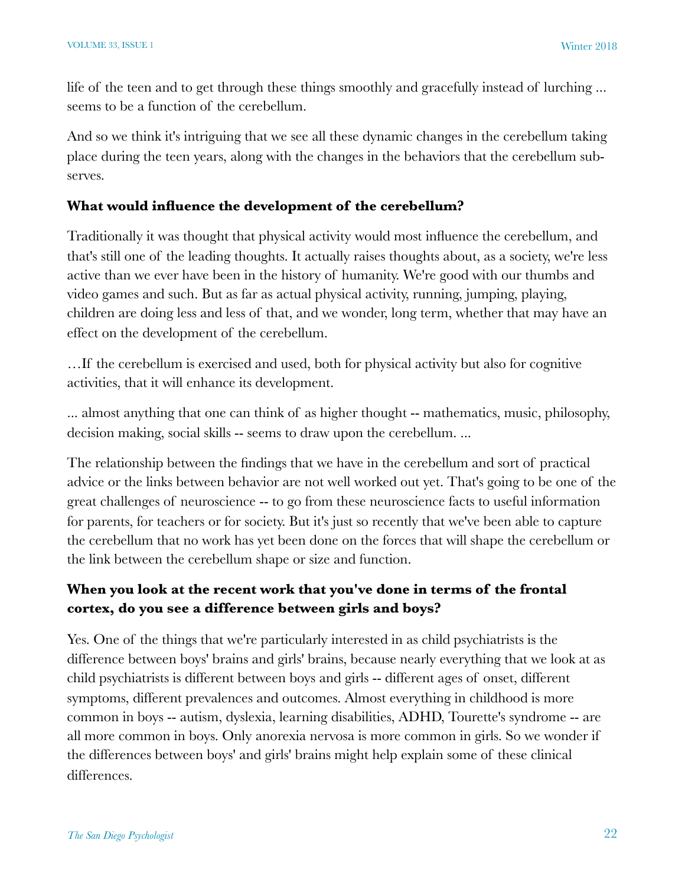life of the teen and to get through these things smoothly and gracefully instead of lurching ... seems to be a function of the cerebellum.

And so we think it's intriguing that we see all these dynamic changes in the cerebellum taking place during the teen years, along with the changes in the behaviors that the cerebellum subserves.

#### **What would influence the development of the cerebellum?**

Traditionally it was thought that physical activity would most influence the cerebellum, and that's still one of the leading thoughts. It actually raises thoughts about, as a society, we're less active than we ever have been in the history of humanity. We're good with our thumbs and video games and such. But as far as actual physical activity, running, jumping, playing, children are doing less and less of that, and we wonder, long term, whether that may have an effect on the development of the cerebellum.

…If the cerebellum is exercised and used, both for physical activity but also for cognitive activities, that it will enhance its development.

... almost anything that one can think of as higher thought -- mathematics, music, philosophy, decision making, social skills -- seems to draw upon the cerebellum. ...

The relationship between the findings that we have in the cerebellum and sort of practical advice or the links between behavior are not well worked out yet. That's going to be one of the great challenges of neuroscience -- to go from these neuroscience facts to useful information for parents, for teachers or for society. But it's just so recently that we've been able to capture the cerebellum that no work has yet been done on the forces that will shape the cerebellum or the link between the cerebellum shape or size and function.

## **When you look at the recent work that you've done in terms of the frontal cortex, do you see a difference between girls and boys?**

Yes. One of the things that we're particularly interested in as child psychiatrists is the difference between boys' brains and girls' brains, because nearly everything that we look at as child psychiatrists is different between boys and girls -- different ages of onset, different symptoms, different prevalences and outcomes. Almost everything in childhood is more common in boys -- autism, dyslexia, learning disabilities, ADHD, Tourette's syndrome -- are all more common in boys. Only anorexia nervosa is more common in girls. So we wonder if the differences between boys' and girls' brains might help explain some of these clinical differences.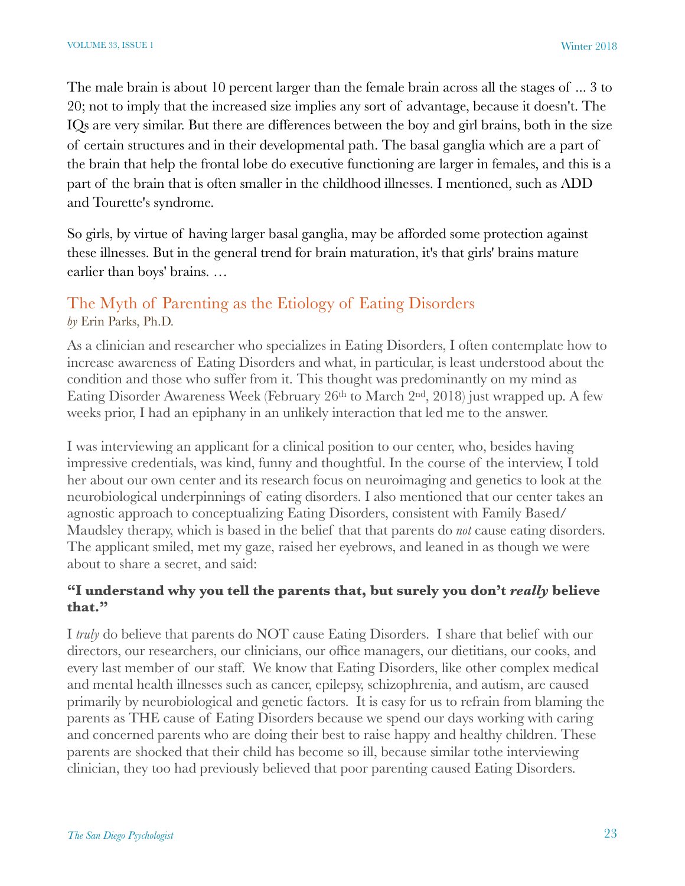The male brain is about 10 percent larger than the female brain across all the stages of ... 3 to 20; not to imply that the increased size implies any sort of advantage, because it doesn't. The IQs are very similar. But there are differences between the boy and girl brains, both in the size of certain structures and in their developmental path. The basal ganglia which are a part of the brain that help the frontal lobe do executive functioning are larger in females, and this is a part of the brain that is often smaller in the childhood illnesses. I mentioned, such as ADD and Tourette's syndrome.

So girls, by virtue of having larger basal ganglia, may be afforded some protection against these illnesses. But in the general trend for brain maturation, it's that girls' brains mature earlier than boys' brains. …

#### The Myth of Parenting as the Etiology of Eating Disorders *by* Erin Parks, Ph.D.

As a clinician and researcher who specializes in Eating Disorders, I often contemplate how to increase awareness of Eating Disorders and what, in particular, is least understood about the condition and those who suffer from it. This thought was predominantly on my mind as Eating Disorder Awareness Week (February 26<sup>th</sup> to March 2<sup>nd</sup>, 2018) just wrapped up. A few weeks prior, I had an epiphany in an unlikely interaction that led me to the answer.

I was interviewing an applicant for a clinical position to our center, who, besides having impressive credentials, was kind, funny and thoughtful. In the course of the interview, I told her about our own center and its research focus on neuroimaging and genetics to look at the neurobiological underpinnings of eating disorders. I also mentioned that our center takes an agnostic approach to conceptualizing Eating Disorders, consistent with Family Based/ Maudsley therapy, which is based in the belief that that parents do *not* cause eating disorders. The applicant smiled, met my gaze, raised her eyebrows, and leaned in as though we were about to share a secret, and said:

#### **"I understand why you tell the parents that, but surely you don't** *really* **believe that."**

I *truly* do believe that parents do NOT cause Eating Disorders. I share that belief with our directors, our researchers, our clinicians, our office managers, our dietitians, our cooks, and every last member of our staff. We know that Eating Disorders, like other complex medical and mental health illnesses such as cancer, epilepsy, schizophrenia, and autism, are caused primarily by neurobiological and genetic factors. It is easy for us to refrain from blaming the parents as THE cause of Eating Disorders because we spend our days working with caring and concerned parents who are doing their best to raise happy and healthy children. These parents are shocked that their child has become so ill, because similar tothe interviewing clinician, they too had previously believed that poor parenting caused Eating Disorders.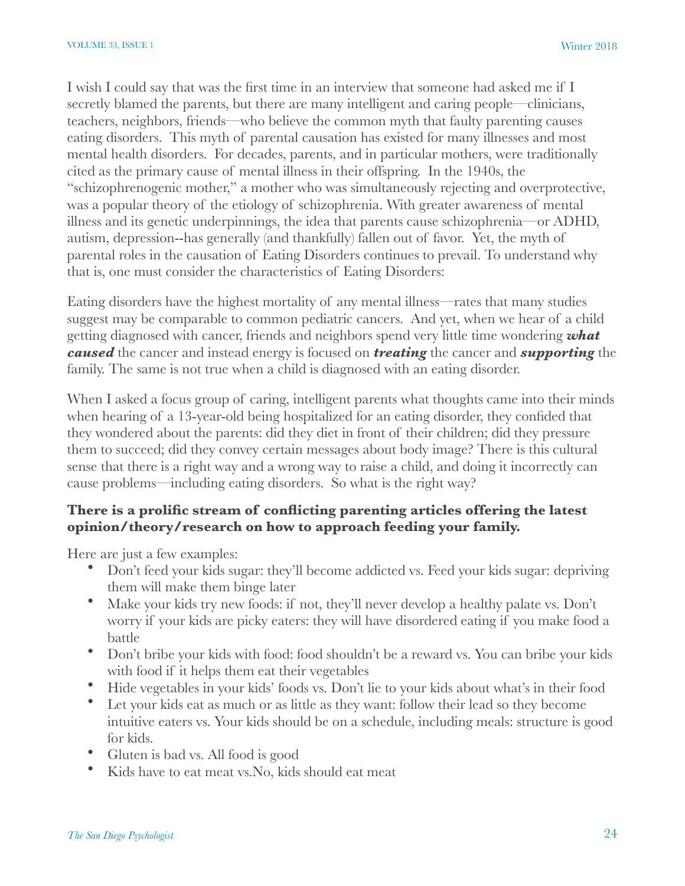I wish I could say that was the first time in an interview that someone had asked me if I secretly blamed the parents, but there are many intelligent and caring people—clinicians, teachers, neighbors, friends—who believe the common myth that faulty parenting causes eating disorders. This myth of parental causation has existed for many illnesses and most mental health disorders. For decades, parents, and in particular mothers, were traditionally cited as the primary cause of mental illness in their offspring. In the 1940s, the "schizophrenogenic mother," a mother who was simultaneously rejecting and overprotective, was a popular theory of the etiology of schizophrenia. With greater awareness of mental illness and its genetic underpinnings, the idea that parents cause schizophrenia—or ADHD, autism, depression--has generally (and thankfully) fallen out of favor. Yet, the myth of parental roles in the causation of Eating Disorders continues to prevail. To understand why that is, one must consider the characteristics of Eating Disorders:

Eating disorders have the highest mortality of any mental illness—rates that many studies suggest may be comparable to common pediatric cancers. And yet, when we hear of a child getting diagnosed with cancer, friends and neighbors spend very little time wondering *what caused* the cancer and instead energy is focused on *treating* the cancer and *supporting* the family. The same is not true when a child is diagnosed with an eating disorder.

When I asked a focus group of caring, intelligent parents what thoughts came into their minds when hearing of a 13-year-old being hospitalized for an eating disorder, they confided that they wondered about the parents: did they diet in front of their children; did they pressure them to succeed; did they convey certain messages about body image? There is this cultural sense that there is a right way and a wrong way to raise a child, and doing it incorrectly can cause problems—including eating disorders. So what is the right way?

## **There is a prolific stream of conflicting parenting articles offering the latest opinion/theory/research on how to approach feeding your family.**

Here are just a few examples:

- Don't feed your kids sugar: they'll become addicted vs. Feed your kids sugar: depriving them will make them binge later
- Make your kids try new foods: if not, they'll never develop a healthy palate vs. Don't worry if your kids are picky eaters: they will have disordered eating if you make food a battle
- Don't bribe your kids with food: food shouldn't be a reward vs. You can bribe your kids with food if it helps them eat their vegetables
- Hide vegetables in your kids' foods vs. Don't lie to your kids about what's in their food
- Let your kids eat as much or as little as they want: follow their lead so they become intuitive eaters vs. Your kids should be on a schedule, including meals: structure is good for kids.
- Gluten is bad vs. All food is good
- Kids have to eat meat vs.No, kids should eat meat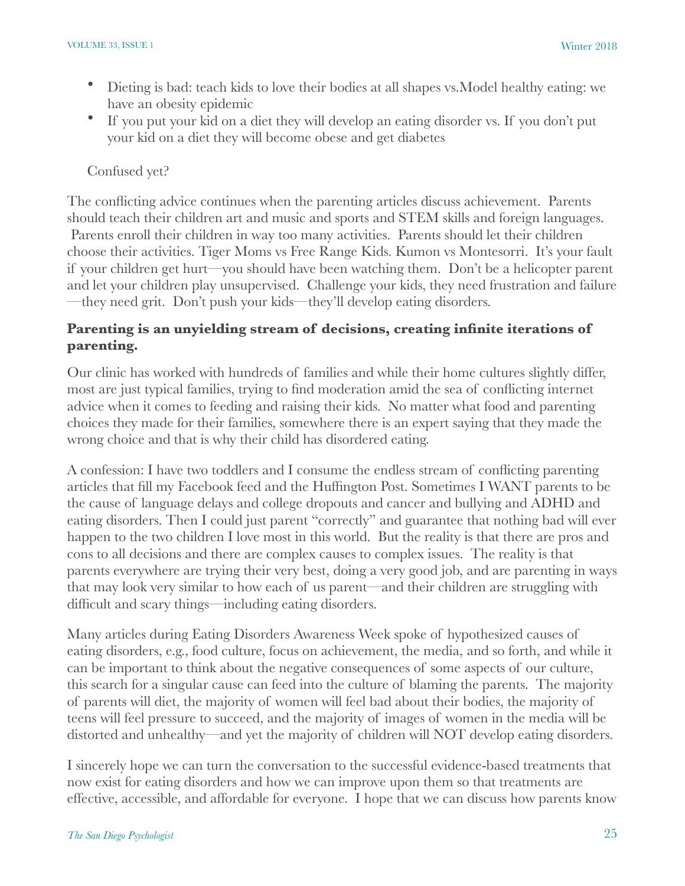- Dieting is bad: teach kids to love their bodies at all shapes vs.Model healthy eating: we have an obesity epidemic
- If you put your kid on a diet they will develop an eating disorder vs. If you don't put your kid on a diet they will become obese and get diabetes

#### Confused yet?

The conflicting advice continues when the parenting articles discuss achievement. Parents should teach their children art and music and sports and STEM skills and foreign languages. Parents enroll their children in way too many activities. Parents should let their children choose their activities. Tiger Moms vs Free Range Kids. Kumon vs Montesorri. It's your fault if your children get hurt—you should have been watching them. Don't be a helicopter parent and let your children play unsupervised. Challenge your kids, they need frustration and failure —they need grit. Don't push your kids—they'll develop eating disorders.

## **Parenting is an unyielding stream of decisions, creating infinite iterations of parenting.**

Our clinic has worked with hundreds of families and while their home cultures slightly differ, most are just typical families, trying to find moderation amid the sea of conflicting internet advice when it comes to feeding and raising their kids. No matter what food and parenting choices they made for their families, somewhere there is an expert saying that they made the wrong choice and that is why their child has disordered eating.

A confession: I have two toddlers and I consume the endless stream of conflicting parenting articles that fill my Facebook feed and the Huffington Post. Sometimes I WANT parents to be the cause of language delays and college dropouts and cancer and bullying and ADHD and eating disorders. Then I could just parent "correctly" and guarantee that nothing bad will ever happen to the two children I love most in this world. But the reality is that there are pros and cons to all decisions and there are complex causes to complex issues. The reality is that parents everywhere are trying their very best, doing a very good job, and are parenting in ways that may look very similar to how each of us parent—and their children are struggling with difficult and scary things—including eating disorders.

Many articles during Eating Disorders Awareness Week spoke of hypothesized causes of eating disorders, e.g., food culture, focus on achievement, the media, and so forth, and while it can be important to think about the negative consequences of some aspects of our culture, this search for a singular cause can feed into the culture of blaming the parents. The majority of parents will diet, the majority of women will feel bad about their bodies, the majority of teens will feel pressure to succeed, and the majority of images of women in the media will be distorted and unhealthy—and yet the majority of children will NOT develop eating disorders.

I sincerely hope we can turn the conversation to the successful evidence-based treatments that now exist for eating disorders and how we can improve upon them so that treatments are effective, accessible, and affordable for everyone. I hope that we can discuss how parents know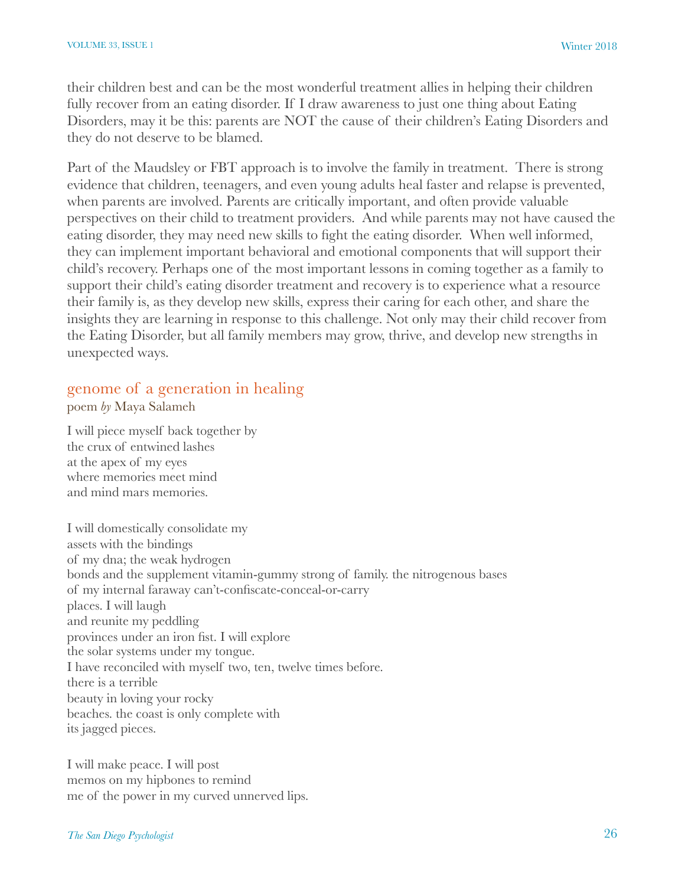their children best and can be the most wonderful treatment allies in helping their children fully recover from an eating disorder. If I draw awareness to just one thing about Eating Disorders, may it be this: parents are NOT the cause of their children's Eating Disorders and they do not deserve to be blamed.

Part of the Maudsley or FBT approach is to involve the family in treatment. There is strong evidence that children, teenagers, and even young adults heal faster and relapse is prevented, when parents are involved. Parents are critically important, and often provide valuable perspectives on their child to treatment providers. And while parents may not have caused the eating disorder, they may need new skills to fight the eating disorder. When well informed, they can implement important behavioral and emotional components that will support their child's recovery. Perhaps one of the most important lessons in coming together as a family to support their child's eating disorder treatment and recovery is to experience what a resource their family is, as they develop new skills, express their caring for each other, and share the insights they are learning in response to this challenge. Not only may their child recover from the Eating Disorder, but all family members may grow, thrive, and develop new strengths in unexpected ways.

#### genome of a generation in healing

poem *by* Maya Salameh

I will piece myself back together by the crux of entwined lashes at the apex of my eyes where memories meet mind and mind mars memories.

I will domestically consolidate my assets with the bindings of my dna; the weak hydrogen bonds and the supplement vitamin-gummy strong of family. the nitrogenous bases of my internal faraway can't-confiscate-conceal-or-carry places. I will laugh and reunite my peddling provinces under an iron fist. I will explore the solar systems under my tongue. I have reconciled with myself two, ten, twelve times before. there is a terrible beauty in loving your rocky beaches. the coast is only complete with its jagged pieces.

I will make peace. I will post memos on my hipbones to remind me of the power in my curved unnerved lips.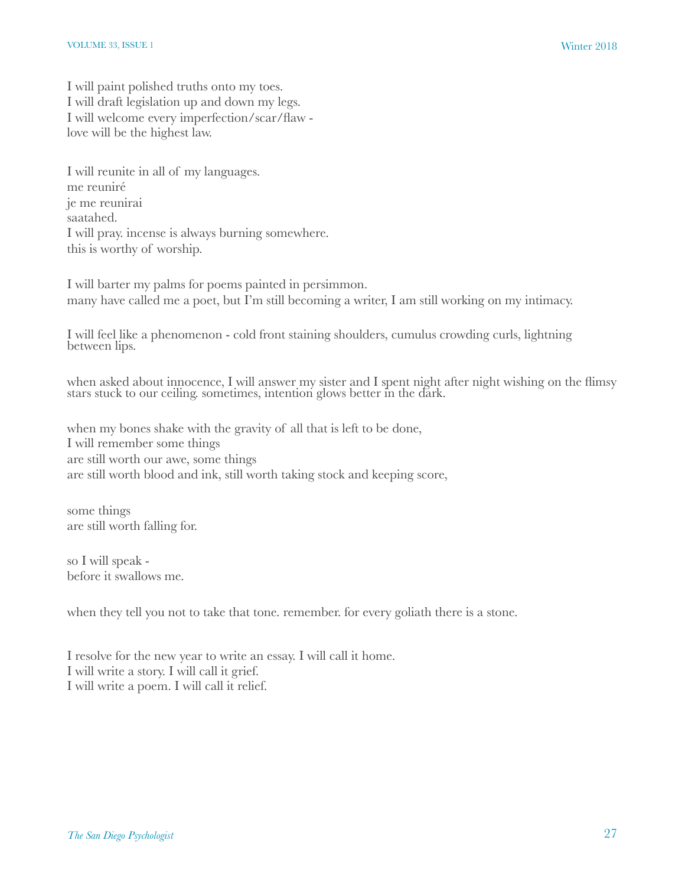I will paint polished truths onto my toes. I will draft legislation up and down my legs. I will welcome every imperfection/scar/flaw love will be the highest law.

I will reunite in all of my languages. me reuniré je me reunirai saatahed. I will pray. incense is always burning somewhere. this is worthy of worship.

I will barter my palms for poems painted in persimmon. many have called me a poet, but I'm still becoming a writer, I am still working on my intimacy.

I will feel like a phenomenon - cold front staining shoulders, cumulus crowding curls, lightning between lips.

when asked about innocence, I will answer my sister and I spent night after night wishing on the flimsy stars stuck to our ceiling. sometimes, intention glows better in the dark.

when my bones shake with the gravity of all that is left to be done, I will remember some things are still worth our awe, some things are still worth blood and ink, still worth taking stock and keeping score,

some things are still worth falling for.

so I will speak before it swallows me.

when they tell you not to take that tone. remember. for every goliath there is a stone.

I resolve for the new year to write an essay. I will call it home. I will write a story. I will call it grief. I will write a poem. I will call it relief.